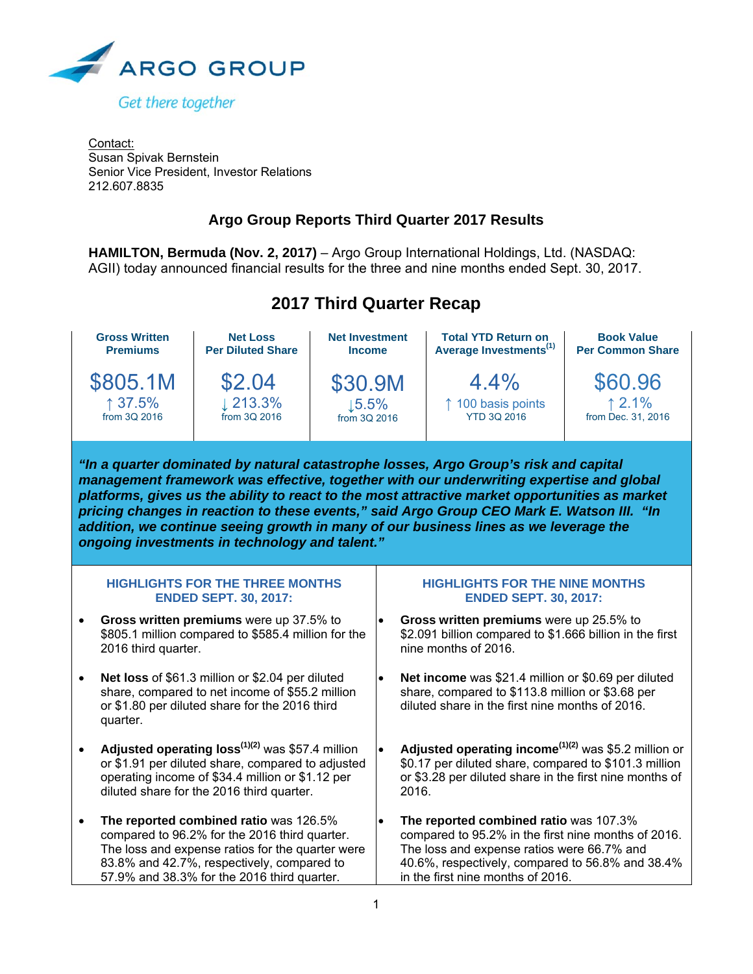

Contact: Susan Spivak Bernstein Senior Vice President, Investor Relations 212.607.8835

# **Argo Group Reports Third Quarter 2017 Results**

**HAMILTON, Bermuda (Nov. 2, 2017)** – Argo Group International Holdings, Ltd. (NASDAQ: AGII) today announced financial results for the three and nine months ended Sept. 30, 2017.



|                                                                        | <b>Gross Written</b><br><b>Premiums</b> | <b>Net Loss</b><br><b>Per Diluted Share</b>                                                                                                                                                                                                                                                                                                                                                                                      | <b>Net Investment</b><br><b>Income</b> |                                                                       | <b>Total YTD Return on</b><br>Average Investments <sup>(1)</sup>                                                                                                                                                                                                                                                                                                                                                                                                       | <b>Book Value</b><br><b>Per Common Share</b> |  |  |  |  |
|------------------------------------------------------------------------|-----------------------------------------|----------------------------------------------------------------------------------------------------------------------------------------------------------------------------------------------------------------------------------------------------------------------------------------------------------------------------------------------------------------------------------------------------------------------------------|----------------------------------------|-----------------------------------------------------------------------|------------------------------------------------------------------------------------------------------------------------------------------------------------------------------------------------------------------------------------------------------------------------------------------------------------------------------------------------------------------------------------------------------------------------------------------------------------------------|----------------------------------------------|--|--|--|--|
|                                                                        | \$805.1M<br>↑ 37.5%<br>from 3Q 2016     | \$2.04<br>$\downarrow$ 213.3%<br>from 3Q 2016                                                                                                                                                                                                                                                                                                                                                                                    | \$30.9M<br>15.5%<br>from 3Q 2016       |                                                                       | 4.4%<br>↑ 100 basis points<br><b>YTD 3Q 2016</b>                                                                                                                                                                                                                                                                                                                                                                                                                       | \$60.96<br>12.1%<br>from Dec. 31, 2016       |  |  |  |  |
|                                                                        |                                         | ongoing investments in technology and talent."                                                                                                                                                                                                                                                                                                                                                                                   |                                        |                                                                       | "In a quarter dominated by natural catastrophe losses, Argo Group's risk and capital<br>management framework was effective, together with our underwriting expertise and global<br>platforms, gives us the ability to react to the most attractive market opportunities as market<br>pricing changes in reaction to these events," said Argo Group CEO Mark E. Watson III. "In<br>addition, we continue seeing growth in many of our business lines as we leverage the |                                              |  |  |  |  |
| <b>HIGHLIGHTS FOR THE THREE MONTHS</b><br><b>ENDED SEPT. 30, 2017:</b> |                                         |                                                                                                                                                                                                                                                                                                                                                                                                                                  |                                        | <b>HIGHLIGHTS FOR THE NINE MONTHS</b><br><b>ENDED SEPT. 30, 2017:</b> |                                                                                                                                                                                                                                                                                                                                                                                                                                                                        |                                              |  |  |  |  |
|                                                                        | 2016 third quarter.                     | Gross written premiums were up 37.5% to<br>\$805.1 million compared to \$585.4 million for the                                                                                                                                                                                                                                                                                                                                   |                                        |                                                                       | Gross written premiums were up 25.5% to<br>\$2.091 billion compared to \$1.666 billion in the first<br>nine months of 2016.                                                                                                                                                                                                                                                                                                                                            |                                              |  |  |  |  |
| $\bullet$                                                              | quarter.                                | Net loss of \$61.3 million or \$2.04 per diluted<br>share, compared to net income of \$55.2 million<br>or \$1.80 per diluted share for the 2016 third                                                                                                                                                                                                                                                                            |                                        | $\bullet$                                                             | Net income was \$21.4 million or \$0.69 per diluted<br>share, compared to \$113.8 million or \$3.68 per<br>diluted share in the first nine months of 2016.                                                                                                                                                                                                                                                                                                             |                                              |  |  |  |  |
|                                                                        |                                         | Adjusted operating loss <sup>(1)(2)</sup> was \$57.4 million<br>Adjusted operating income <sup><math>(1)(2)</math></sup> was \$5.2 million or<br>\$0.17 per diluted share, compared to \$101.3 million<br>or \$1.91 per diluted share, compared to adjusted<br>operating income of \$34.4 million or \$1.12 per<br>or \$3.28 per diluted share in the first nine months of<br>diluted share for the 2016 third quarter.<br>2016. |                                        |                                                                       |                                                                                                                                                                                                                                                                                                                                                                                                                                                                        |                                              |  |  |  |  |
| $\bullet$                                                              |                                         | The reported combined ratio was 126.5%<br>compared to 96.2% for the 2016 third quarter.<br>The loss and expense ratios for the quarter were<br>83.8% and 42.7%, respectively, compared to<br>57.9% and 38.3% for the 2016 third quarter.                                                                                                                                                                                         | $\bullet$                              |                                                                       | The reported combined ratio was 107.3%<br>compared to 95.2% in the first nine months of 2016.<br>The loss and expense ratios were 66.7% and<br>40.6%, respectively, compared to 56.8% and 38.4%<br>in the first nine months of 2016.                                                                                                                                                                                                                                   |                                              |  |  |  |  |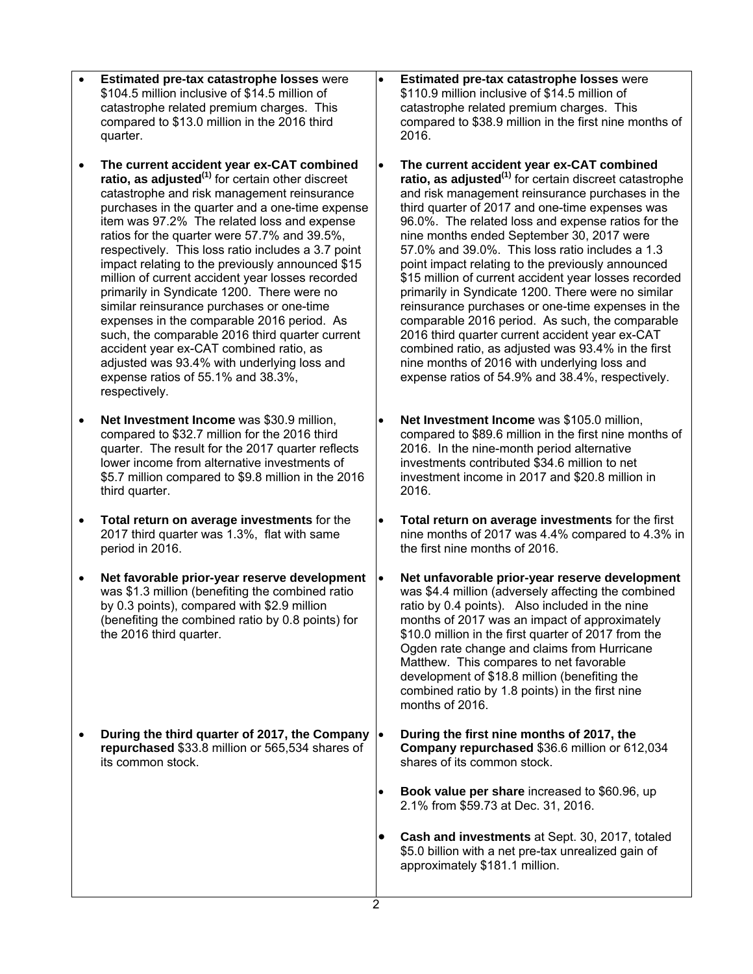- **Estimated pre-tax catastrophe losses** were \$104.5 million inclusive of \$14.5 million of catastrophe related premium charges. This compared to \$13.0 million in the 2016 third quarter.
- **The current accident year ex-CAT combined ratio, as adjusted(1)** for certain other discreet catastrophe and risk management reinsurance purchases in the quarter and a one-time expense item was 97.2% The related loss and expense ratios for the quarter were 57.7% and 39.5%, respectively. This loss ratio includes a 3.7 point impact relating to the previously announced \$15 million of current accident year losses recorded primarily in Syndicate 1200. There were no similar reinsurance purchases or one-time expenses in the comparable 2016 period. As such, the comparable 2016 third quarter current accident year ex-CAT combined ratio, as adjusted was 93.4% with underlying loss and expense ratios of 55.1% and 38.3%, respectively.
- **Net Investment Income** was \$30.9 million, compared to \$32.7 million for the 2016 third quarter. The result for the 2017 quarter reflects lower income from alternative investments of \$5.7 million compared to \$9.8 million in the 2016 third quarter.
- **Total return on average investments** for the 2017 third quarter was 1.3%, flat with same period in 2016.
- **Net favorable prior-year reserve development** was \$1.3 million (benefiting the combined ratio by 0.3 points), compared with \$2.9 million (benefiting the combined ratio by 0.8 points) for the 2016 third quarter.
- **During the third quarter of 2017, the Company repurchased** \$33.8 million or 565,534 shares of its common stock.

 **Estimated pre-tax catastrophe losses** were \$110.9 million inclusive of \$14.5 million of catastrophe related premium charges. This compared to \$38.9 million in the first nine months of 2016.

- **The current accident year ex-CAT combined ratio, as adjusted(1)** for certain discreet catastrophe and risk management reinsurance purchases in the third quarter of 2017 and one-time expenses was 96.0%. The related loss and expense ratios for the nine months ended September 30, 2017 were 57.0% and 39.0%. This loss ratio includes a 1.3 point impact relating to the previously announced \$15 million of current accident year losses recorded primarily in Syndicate 1200. There were no similar reinsurance purchases or one-time expenses in the comparable 2016 period. As such, the comparable 2016 third quarter current accident year ex-CAT combined ratio, as adjusted was 93.4% in the first nine months of 2016 with underlying loss and expense ratios of 54.9% and 38.4%, respectively.
- **Net Investment Income** was \$105.0 million, compared to \$89.6 million in the first nine months of 2016. In the nine-month period alternative investments contributed \$34.6 million to net investment income in 2017 and \$20.8 million in 2016.
- **Total return on average investments** for the first nine months of 2017 was 4.4% compared to 4.3% in the first nine months of 2016.
- **Net unfavorable prior-year reserve development** was \$4.4 million (adversely affecting the combined ratio by 0.4 points). Also included in the nine months of 2017 was an impact of approximately \$10.0 million in the first quarter of 2017 from the Ogden rate change and claims from Hurricane Matthew. This compares to net favorable development of \$18.8 million (benefiting the combined ratio by 1.8 points) in the first nine months of 2016.
- **During the first nine months of 2017, the Company repurchased** \$36.6 million or 612,034 shares of its common stock.
- **Book value per share** increased to \$60.96, up 2.1% from \$59.73 at Dec. 31, 2016.
- **Cash and investments** at Sept. 30, 2017, totaled \$5.0 billion with a net pre-tax unrealized gain of approximately \$181.1 million.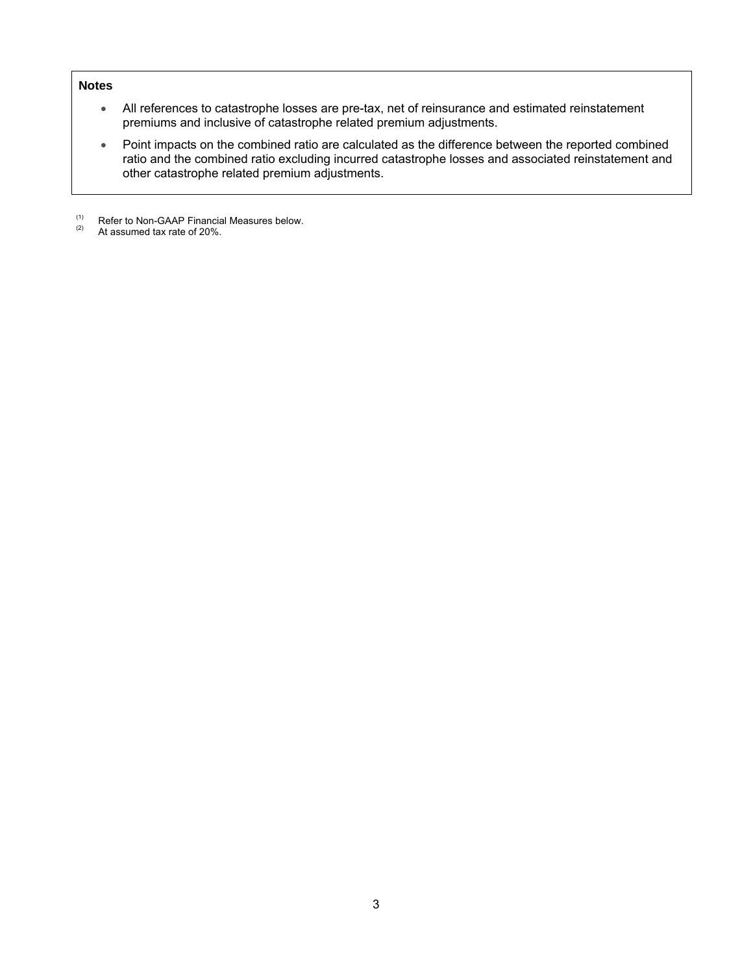## **Notes**

- All references to catastrophe losses are pre-tax, net of reinsurance and estimated reinstatement premiums and inclusive of catastrophe related premium adjustments.
- Point impacts on the combined ratio are calculated as the difference between the reported combined ratio and the combined ratio excluding incurred catastrophe losses and associated reinstatement and other catastrophe related premium adjustments.
- (1) Refer to Non-GAAP Financial Measures below.<br>(2) At assumed tax rate of 20%
- At assumed tax rate of 20%.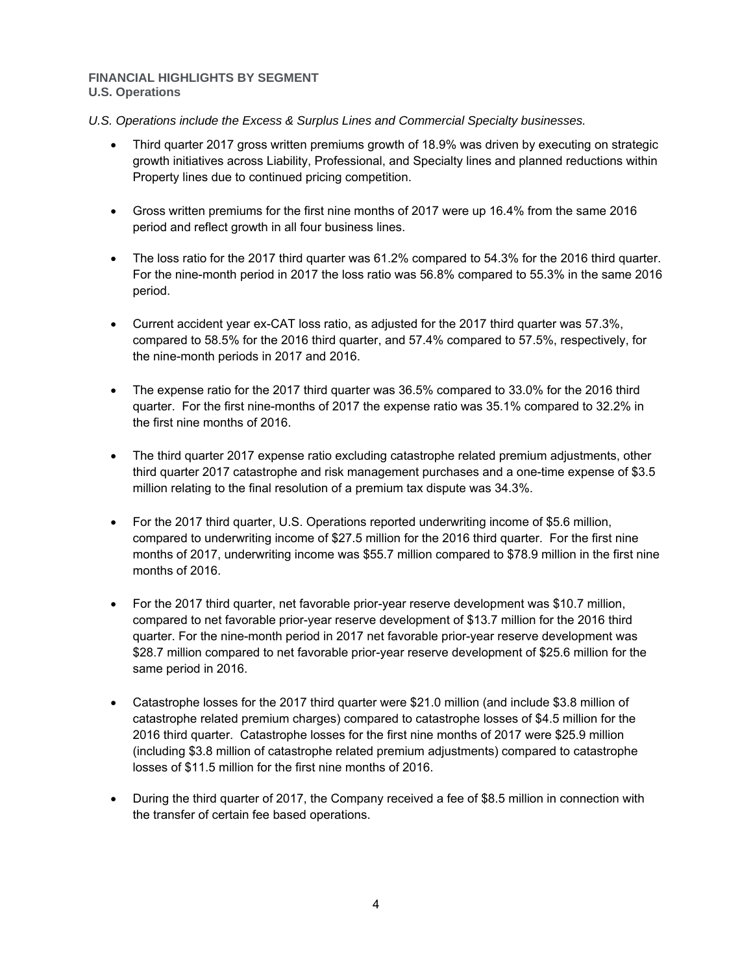## **FINANCIAL HIGHLIGHTS BY SEGMENT U.S. Operations**

*U.S. Operations include the Excess & Surplus Lines and Commercial Specialty businesses.* 

- Third quarter 2017 gross written premiums growth of 18.9% was driven by executing on strategic growth initiatives across Liability, Professional, and Specialty lines and planned reductions within Property lines due to continued pricing competition.
- Gross written premiums for the first nine months of 2017 were up 16.4% from the same 2016 period and reflect growth in all four business lines.
- The loss ratio for the 2017 third quarter was 61.2% compared to 54.3% for the 2016 third quarter. For the nine-month period in 2017 the loss ratio was 56.8% compared to 55.3% in the same 2016 period.
- Current accident year ex-CAT loss ratio, as adjusted for the 2017 third quarter was 57.3%, compared to 58.5% for the 2016 third quarter, and 57.4% compared to 57.5%, respectively, for the nine-month periods in 2017 and 2016.
- The expense ratio for the 2017 third quarter was 36.5% compared to 33.0% for the 2016 third quarter. For the first nine-months of 2017 the expense ratio was 35.1% compared to 32.2% in the first nine months of 2016.
- The third quarter 2017 expense ratio excluding catastrophe related premium adjustments, other third quarter 2017 catastrophe and risk management purchases and a one-time expense of \$3.5 million relating to the final resolution of a premium tax dispute was 34.3%.
- For the 2017 third quarter, U.S. Operations reported underwriting income of \$5.6 million, compared to underwriting income of \$27.5 million for the 2016 third quarter. For the first nine months of 2017, underwriting income was \$55.7 million compared to \$78.9 million in the first nine months of 2016.
- For the 2017 third quarter, net favorable prior-year reserve development was \$10.7 million, compared to net favorable prior-year reserve development of \$13.7 million for the 2016 third quarter. For the nine-month period in 2017 net favorable prior-year reserve development was \$28.7 million compared to net favorable prior-year reserve development of \$25.6 million for the same period in 2016.
- Catastrophe losses for the 2017 third quarter were \$21.0 million (and include \$3.8 million of catastrophe related premium charges) compared to catastrophe losses of \$4.5 million for the 2016 third quarter. Catastrophe losses for the first nine months of 2017 were \$25.9 million (including \$3.8 million of catastrophe related premium adjustments) compared to catastrophe losses of \$11.5 million for the first nine months of 2016.
- During the third quarter of 2017, the Company received a fee of \$8.5 million in connection with the transfer of certain fee based operations.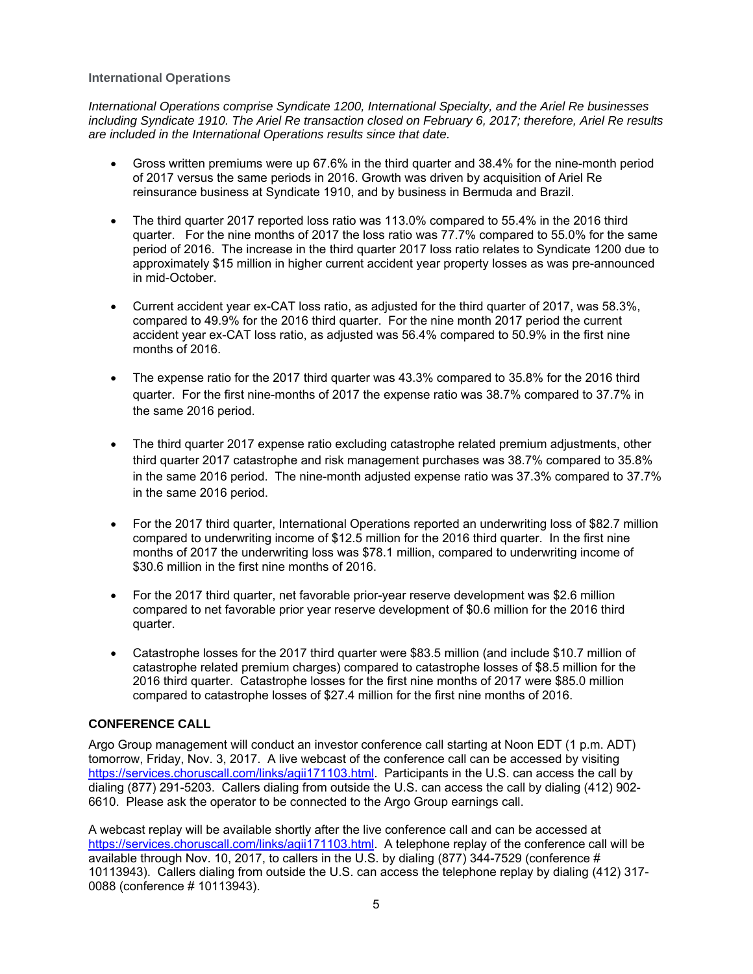## **International Operations**

*International Operations comprise Syndicate 1200, International Specialty, and the Ariel Re businesses including Syndicate 1910. The Ariel Re transaction closed on February 6, 2017; therefore, Ariel Re results are included in the International Operations results since that date.* 

- Gross written premiums were up 67.6% in the third quarter and 38.4% for the nine-month period of 2017 versus the same periods in 2016. Growth was driven by acquisition of Ariel Re reinsurance business at Syndicate 1910, and by business in Bermuda and Brazil.
- The third quarter 2017 reported loss ratio was 113.0% compared to 55.4% in the 2016 third quarter. For the nine months of 2017 the loss ratio was 77.7% compared to 55.0% for the same period of 2016. The increase in the third quarter 2017 loss ratio relates to Syndicate 1200 due to approximately \$15 million in higher current accident year property losses as was pre-announced in mid-October.
- Current accident year ex-CAT loss ratio, as adjusted for the third quarter of 2017, was 58.3%, compared to 49.9% for the 2016 third quarter. For the nine month 2017 period the current accident year ex-CAT loss ratio, as adjusted was 56.4% compared to 50.9% in the first nine months of 2016.
- The expense ratio for the 2017 third quarter was 43.3% compared to 35.8% for the 2016 third quarter. For the first nine-months of 2017 the expense ratio was 38.7% compared to 37.7% in the same 2016 period.
- The third quarter 2017 expense ratio excluding catastrophe related premium adjustments, other third quarter 2017 catastrophe and risk management purchases was 38.7% compared to 35.8% in the same 2016 period. The nine-month adjusted expense ratio was 37.3% compared to 37.7% in the same 2016 period.
- For the 2017 third quarter, International Operations reported an underwriting loss of \$82.7 million compared to underwriting income of \$12.5 million for the 2016 third quarter. In the first nine months of 2017 the underwriting loss was \$78.1 million, compared to underwriting income of \$30.6 million in the first nine months of 2016.
- For the 2017 third quarter, net favorable prior-year reserve development was \$2.6 million compared to net favorable prior year reserve development of \$0.6 million for the 2016 third quarter.
- Catastrophe losses for the 2017 third quarter were \$83.5 million (and include \$10.7 million of catastrophe related premium charges) compared to catastrophe losses of \$8.5 million for the 2016 third quarter. Catastrophe losses for the first nine months of 2017 were \$85.0 million compared to catastrophe losses of \$27.4 million for the first nine months of 2016.

# **CONFERENCE CALL**

Argo Group management will conduct an investor conference call starting at Noon EDT (1 p.m. ADT) tomorrow, Friday, Nov. 3, 2017. A live webcast of the conference call can be accessed by visiting https://services.choruscall.com/links/agii171103.html. Participants in the U.S. can access the call by dialing (877) 291-5203. Callers dialing from outside the U.S. can access the call by dialing (412) 902- 6610. Please ask the operator to be connected to the Argo Group earnings call.

A webcast replay will be available shortly after the live conference call and can be accessed at https://services.choruscall.com/links/agii171103.html. A telephone replay of the conference call will be available through Nov. 10, 2017, to callers in the U.S. by dialing (877) 344-7529 (conference # 10113943). Callers dialing from outside the U.S. can access the telephone replay by dialing (412) 317- 0088 (conference # 10113943).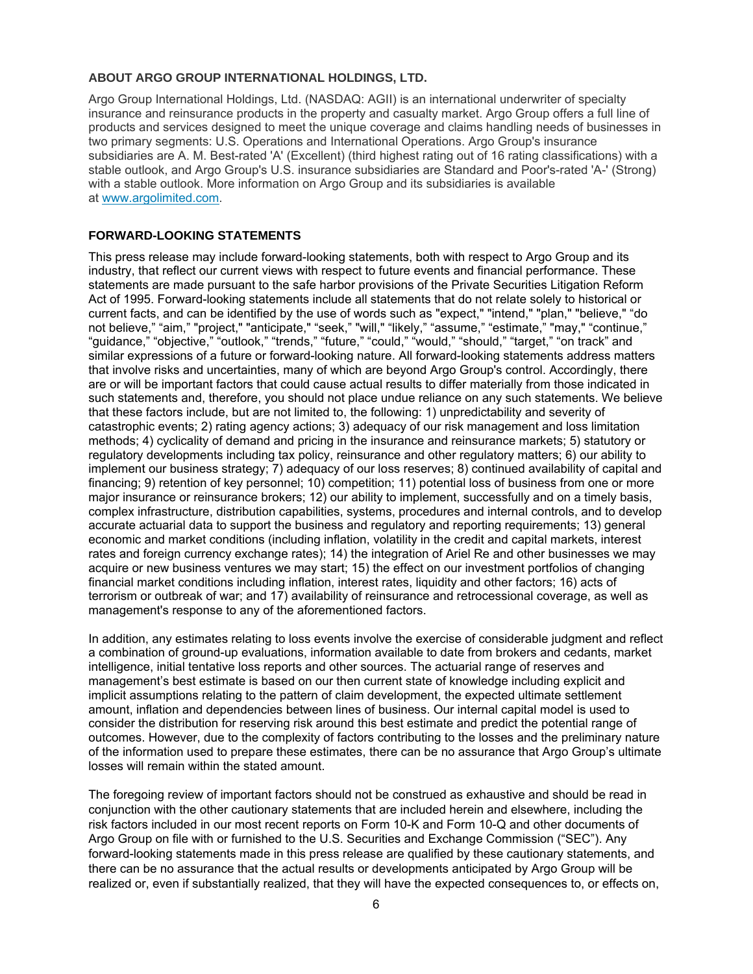## **ABOUT ARGO GROUP INTERNATIONAL HOLDINGS, LTD.**

Argo Group International Holdings, Ltd. (NASDAQ: AGII) is an international underwriter of specialty insurance and reinsurance products in the property and casualty market. Argo Group offers a full line of products and services designed to meet the unique coverage and claims handling needs of businesses in two primary segments: U.S. Operations and International Operations. Argo Group's insurance subsidiaries are A. M. Best-rated 'A' (Excellent) (third highest rating out of 16 rating classifications) with a stable outlook, and Argo Group's U.S. insurance subsidiaries are Standard and Poor's-rated 'A-' (Strong) with a stable outlook. More information on Argo Group and its subsidiaries is available at www.argolimited.com.

## **FORWARD-LOOKING STATEMENTS**

This press release may include forward-looking statements, both with respect to Argo Group and its industry, that reflect our current views with respect to future events and financial performance. These statements are made pursuant to the safe harbor provisions of the Private Securities Litigation Reform Act of 1995. Forward-looking statements include all statements that do not relate solely to historical or current facts, and can be identified by the use of words such as "expect," "intend," "plan," "believe," "do not believe," "aim," "project," "anticipate," "seek," "will," "likely," "assume," "estimate," "may," "continue," "guidance," "objective," "outlook," "trends," "future," "could," "would," "should," "target," "on track" and similar expressions of a future or forward-looking nature. All forward-looking statements address matters that involve risks and uncertainties, many of which are beyond Argo Group's control. Accordingly, there are or will be important factors that could cause actual results to differ materially from those indicated in such statements and, therefore, you should not place undue reliance on any such statements. We believe that these factors include, but are not limited to, the following: 1) unpredictability and severity of catastrophic events; 2) rating agency actions; 3) adequacy of our risk management and loss limitation methods; 4) cyclicality of demand and pricing in the insurance and reinsurance markets; 5) statutory or regulatory developments including tax policy, reinsurance and other regulatory matters; 6) our ability to implement our business strategy; 7) adequacy of our loss reserves; 8) continued availability of capital and financing; 9) retention of key personnel; 10) competition; 11) potential loss of business from one or more major insurance or reinsurance brokers; 12) our ability to implement, successfully and on a timely basis, complex infrastructure, distribution capabilities, systems, procedures and internal controls, and to develop accurate actuarial data to support the business and regulatory and reporting requirements; 13) general economic and market conditions (including inflation, volatility in the credit and capital markets, interest rates and foreign currency exchange rates); 14) the integration of Ariel Re and other businesses we may acquire or new business ventures we may start; 15) the effect on our investment portfolios of changing financial market conditions including inflation, interest rates, liquidity and other factors; 16) acts of terrorism or outbreak of war; and 17) availability of reinsurance and retrocessional coverage, as well as management's response to any of the aforementioned factors.

In addition, any estimates relating to loss events involve the exercise of considerable judgment and reflect a combination of ground-up evaluations, information available to date from brokers and cedants, market intelligence, initial tentative loss reports and other sources. The actuarial range of reserves and management's best estimate is based on our then current state of knowledge including explicit and implicit assumptions relating to the pattern of claim development, the expected ultimate settlement amount, inflation and dependencies between lines of business. Our internal capital model is used to consider the distribution for reserving risk around this best estimate and predict the potential range of outcomes. However, due to the complexity of factors contributing to the losses and the preliminary nature of the information used to prepare these estimates, there can be no assurance that Argo Group's ultimate losses will remain within the stated amount.

The foregoing review of important factors should not be construed as exhaustive and should be read in conjunction with the other cautionary statements that are included herein and elsewhere, including the risk factors included in our most recent reports on Form 10-K and Form 10-Q and other documents of Argo Group on file with or furnished to the U.S. Securities and Exchange Commission ("SEC"). Any forward-looking statements made in this press release are qualified by these cautionary statements, and there can be no assurance that the actual results or developments anticipated by Argo Group will be realized or, even if substantially realized, that they will have the expected consequences to, or effects on,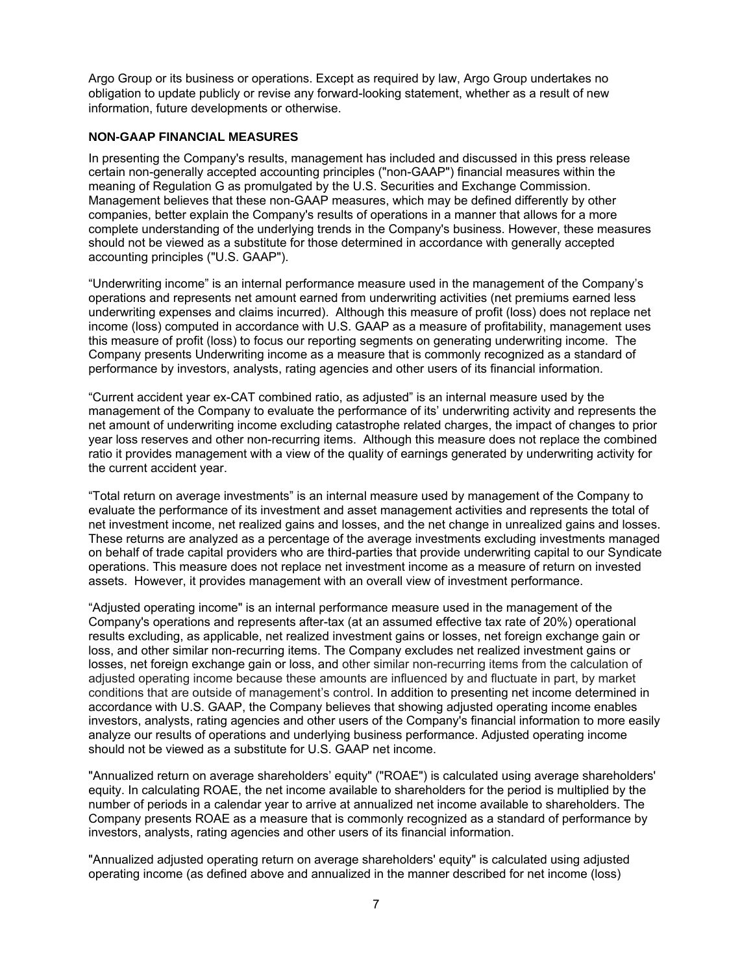Argo Group or its business or operations. Except as required by law, Argo Group undertakes no obligation to update publicly or revise any forward-looking statement, whether as a result of new information, future developments or otherwise.

## **NON-GAAP FINANCIAL MEASURES**

In presenting the Company's results, management has included and discussed in this press release certain non-generally accepted accounting principles ("non-GAAP") financial measures within the meaning of Regulation G as promulgated by the U.S. Securities and Exchange Commission. Management believes that these non-GAAP measures, which may be defined differently by other companies, better explain the Company's results of operations in a manner that allows for a more complete understanding of the underlying trends in the Company's business. However, these measures should not be viewed as a substitute for those determined in accordance with generally accepted accounting principles ("U.S. GAAP").

"Underwriting income" is an internal performance measure used in the management of the Company's operations and represents net amount earned from underwriting activities (net premiums earned less underwriting expenses and claims incurred). Although this measure of profit (loss) does not replace net income (loss) computed in accordance with U.S. GAAP as a measure of profitability, management uses this measure of profit (loss) to focus our reporting segments on generating underwriting income. The Company presents Underwriting income as a measure that is commonly recognized as a standard of performance by investors, analysts, rating agencies and other users of its financial information.

"Current accident year ex-CAT combined ratio, as adjusted" is an internal measure used by the management of the Company to evaluate the performance of its' underwriting activity and represents the net amount of underwriting income excluding catastrophe related charges, the impact of changes to prior year loss reserves and other non-recurring items. Although this measure does not replace the combined ratio it provides management with a view of the quality of earnings generated by underwriting activity for the current accident year.

"Total return on average investments" is an internal measure used by management of the Company to evaluate the performance of its investment and asset management activities and represents the total of net investment income, net realized gains and losses, and the net change in unrealized gains and losses. These returns are analyzed as a percentage of the average investments excluding investments managed on behalf of trade capital providers who are third-parties that provide underwriting capital to our Syndicate operations. This measure does not replace net investment income as a measure of return on invested assets. However, it provides management with an overall view of investment performance.

"Adjusted operating income" is an internal performance measure used in the management of the Company's operations and represents after-tax (at an assumed effective tax rate of 20%) operational results excluding, as applicable, net realized investment gains or losses, net foreign exchange gain or loss, and other similar non-recurring items. The Company excludes net realized investment gains or losses, net foreign exchange gain or loss, and other similar non-recurring items from the calculation of adjusted operating income because these amounts are influenced by and fluctuate in part, by market conditions that are outside of management's control. In addition to presenting net income determined in accordance with U.S. GAAP, the Company believes that showing adjusted operating income enables investors, analysts, rating agencies and other users of the Company's financial information to more easily analyze our results of operations and underlying business performance. Adjusted operating income should not be viewed as a substitute for U.S. GAAP net income.

"Annualized return on average shareholders' equity" ("ROAE") is calculated using average shareholders' equity. In calculating ROAE, the net income available to shareholders for the period is multiplied by the number of periods in a calendar year to arrive at annualized net income available to shareholders. The Company presents ROAE as a measure that is commonly recognized as a standard of performance by investors, analysts, rating agencies and other users of its financial information.

"Annualized adjusted operating return on average shareholders' equity" is calculated using adjusted operating income (as defined above and annualized in the manner described for net income (loss)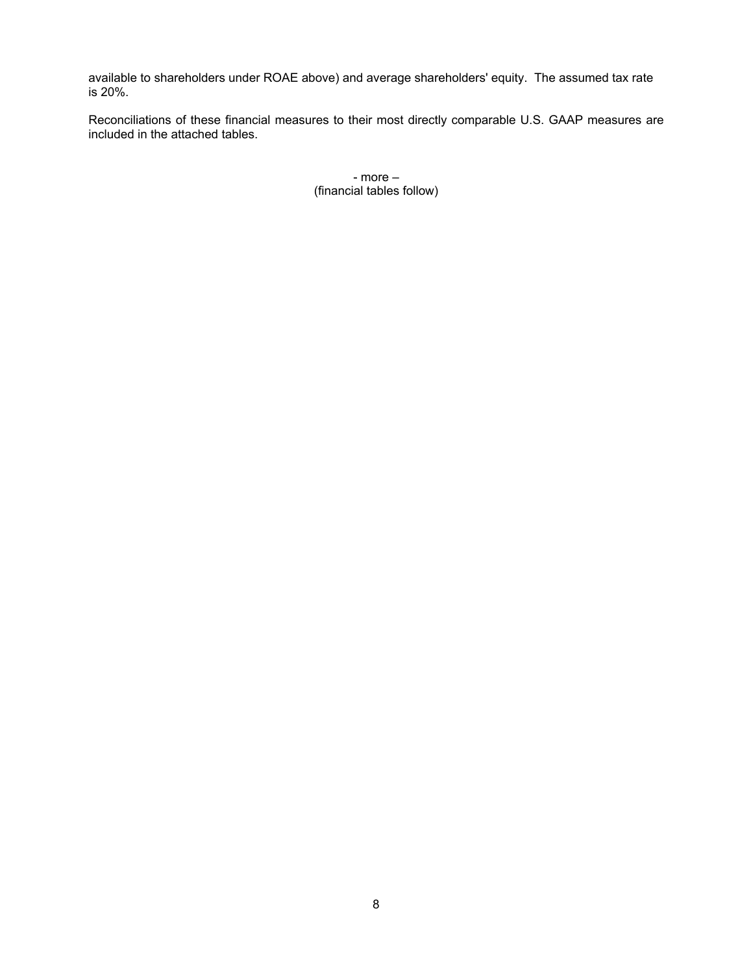available to shareholders under ROAE above) and average shareholders' equity. The assumed tax rate is 20%.

Reconciliations of these financial measures to their most directly comparable U.S. GAAP measures are included in the attached tables.

> - more – (financial tables follow)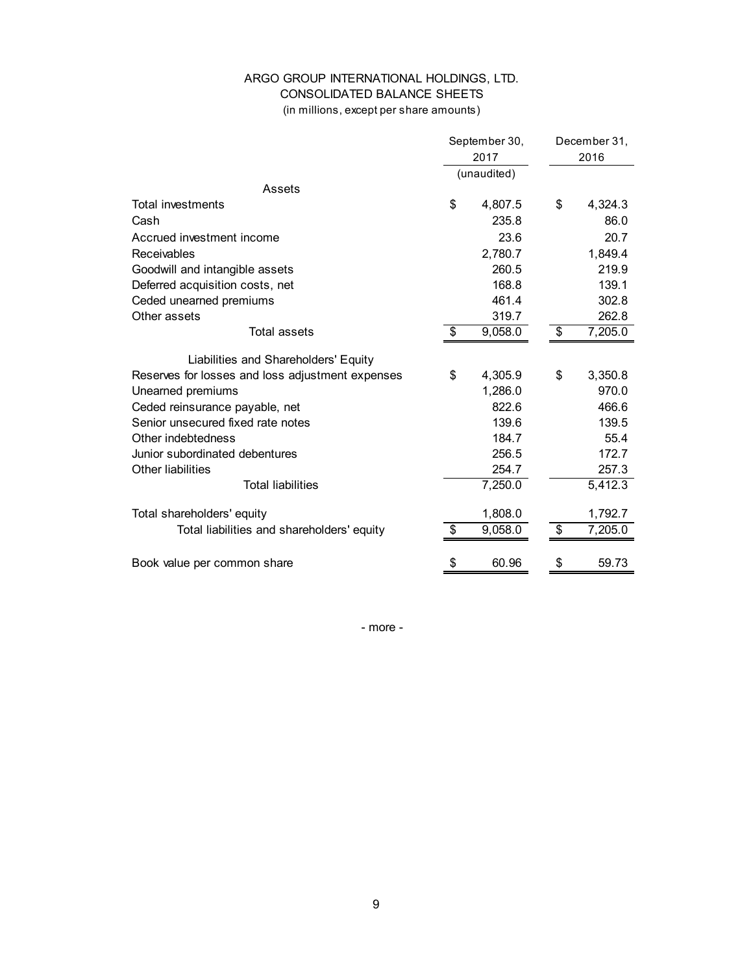# ARGO GROUP INTERNATIONAL HOLDINGS, LTD. CONSOLIDATED BALANCE SHEETS

(in millions, except per share amounts)

|                                                  | September 30, | December 31, |         |  |
|--------------------------------------------------|---------------|--------------|---------|--|
|                                                  | 2017          |              | 2016    |  |
|                                                  | (unaudited)   |              |         |  |
| Assets                                           |               |              |         |  |
| Total investments                                | \$<br>4,807.5 | \$           | 4,324.3 |  |
| Cash                                             | 235.8         |              | 86.0    |  |
| Accrued investment income                        | 23.6          |              | 20.7    |  |
| Receivables                                      | 2,780.7       |              | 1,849.4 |  |
| Goodwill and intangible assets                   | 260.5         |              | 219.9   |  |
| Deferred acquisition costs, net                  | 168.8         |              | 139.1   |  |
| Ceded unearned premiums                          | 461.4         |              | 302.8   |  |
| Other assets                                     | 319.7         |              | 262.8   |  |
| Total assets                                     | \$<br>9,058.0 | \$           | 7,205.0 |  |
|                                                  |               |              |         |  |
| Liabilities and Shareholders' Equity             |               |              |         |  |
| Reserves for losses and loss adjustment expenses | \$<br>4,305.9 | \$           | 3,350.8 |  |
| Unearned premiums                                | 1,286.0       |              | 970.0   |  |
| Ceded reinsurance payable, net                   | 822.6         |              | 466.6   |  |
| Senior unsecured fixed rate notes                | 139.6         |              | 139.5   |  |
| Other indebtedness                               | 184.7         |              | 55.4    |  |
| Junior subordinated debentures                   | 256.5         |              | 172.7   |  |
| Other liabilities                                | 254.7         |              | 257.3   |  |
| <b>Total liabilities</b>                         | 7,250.0       |              | 5,412.3 |  |
| Total shareholders' equity                       | 1,808.0       |              | 1,792.7 |  |
| Total liabilities and shareholders' equity       | \$<br>9,058.0 | \$           | 7,205.0 |  |
| Book value per common share                      | \$<br>60.96   | \$           | 59.73   |  |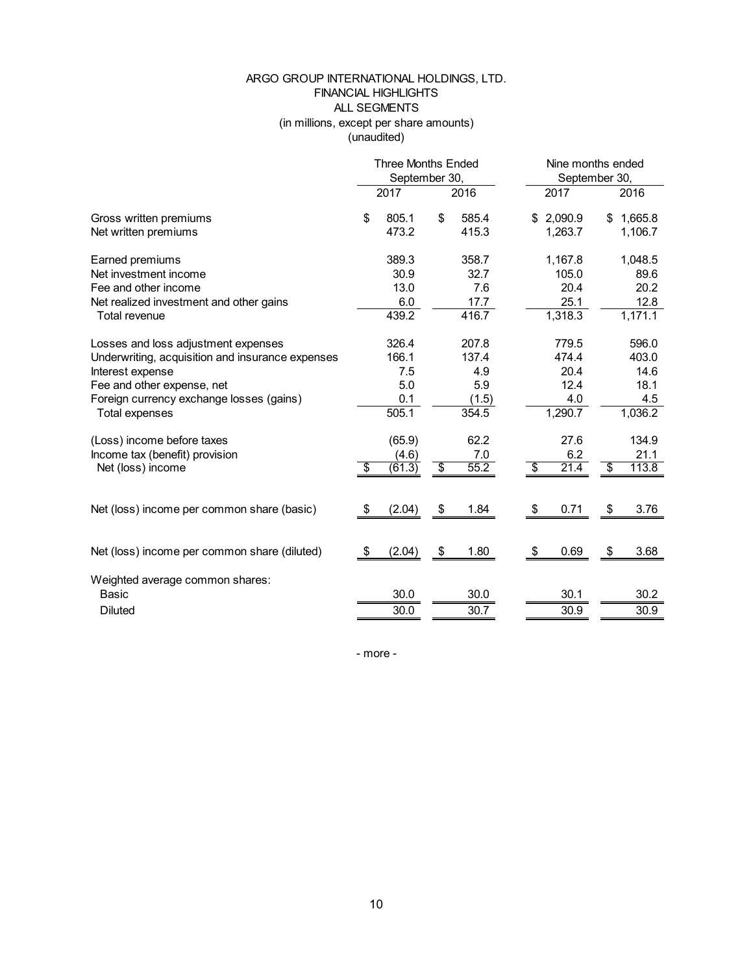## ARGO GROUP INTERNATIONAL HOLDINGS, LTD. FINANCIAL HIGHLIGHTS ALL SEGMENTS (in millions, except per share amounts) (unaudited)

|                                                                                                                                                                                                                |    | <b>Three Months Ended</b><br>September 30,   |                 |                                                |    |                                                  | Nine months ended<br>September 30, |                                                  |  |
|----------------------------------------------------------------------------------------------------------------------------------------------------------------------------------------------------------------|----|----------------------------------------------|-----------------|------------------------------------------------|----|--------------------------------------------------|------------------------------------|--------------------------------------------------|--|
|                                                                                                                                                                                                                |    | 2017                                         |                 | 2016                                           |    | 2017                                             |                                    | 2016                                             |  |
| Gross written premiums<br>Net written premiums                                                                                                                                                                 | \$ | 805.1<br>473.2                               | \$              | 585.4<br>415.3                                 |    | \$2,090.9<br>1,263.7                             | \$                                 | 1,665.8<br>1,106.7                               |  |
| Earned premiums<br>Net investment income<br>Fee and other income<br>Net realized investment and other gains<br>Total revenue                                                                                   |    | 389.3<br>30.9<br>13.0<br>6.0<br>439.2        |                 | 358.7<br>32.7<br>7.6<br>17.7<br>416.7          |    | 1,167.8<br>105.0<br>20.4<br>25.1<br>1,318.3      |                                    | 1,048.5<br>89.6<br>20.2<br>12.8<br>1,171.1       |  |
| Losses and loss adjustment expenses<br>Underwriting, acquisition and insurance expenses<br>Interest expense<br>Fee and other expense, net<br>Foreign currency exchange losses (gains)<br><b>Total expenses</b> |    | 326.4<br>166.1<br>7.5<br>5.0<br>0.1<br>505.1 |                 | 207.8<br>137.4<br>4.9<br>5.9<br>(1.5)<br>354.5 |    | 779.5<br>474.4<br>20.4<br>12.4<br>4.0<br>1,290.7 |                                    | 596.0<br>403.0<br>14.6<br>18.1<br>4.5<br>1,036.2 |  |
| (Loss) income before taxes<br>Income tax (benefit) provision<br>Net (loss) income                                                                                                                              | s, | (65.9)<br>(4.6)<br>(61.3)                    | $\overline{\$}$ | 62.2<br>7.0<br>55.2                            | s, | 27.6<br>6.2<br>21.4                              | $\overline{\mathbb{S}}$            | 134.9<br>21.1<br>113.8                           |  |
| Net (loss) income per common share (basic)                                                                                                                                                                     | \$ | (2.04)                                       | \$              | 1.84                                           | \$ | 0.71                                             | \$                                 | 3.76                                             |  |
| Net (loss) income per common share (diluted)                                                                                                                                                                   | \$ | (2.04)                                       | \$              | 1.80                                           | \$ | 0.69                                             | \$                                 | 3.68                                             |  |
| Weighted average common shares:<br><b>Basic</b><br><b>Diluted</b>                                                                                                                                              |    | 30.0<br>30.0                                 |                 | 30.0<br>30.7                                   |    | 30.1<br>30.9                                     |                                    | 30.2<br>30.9                                     |  |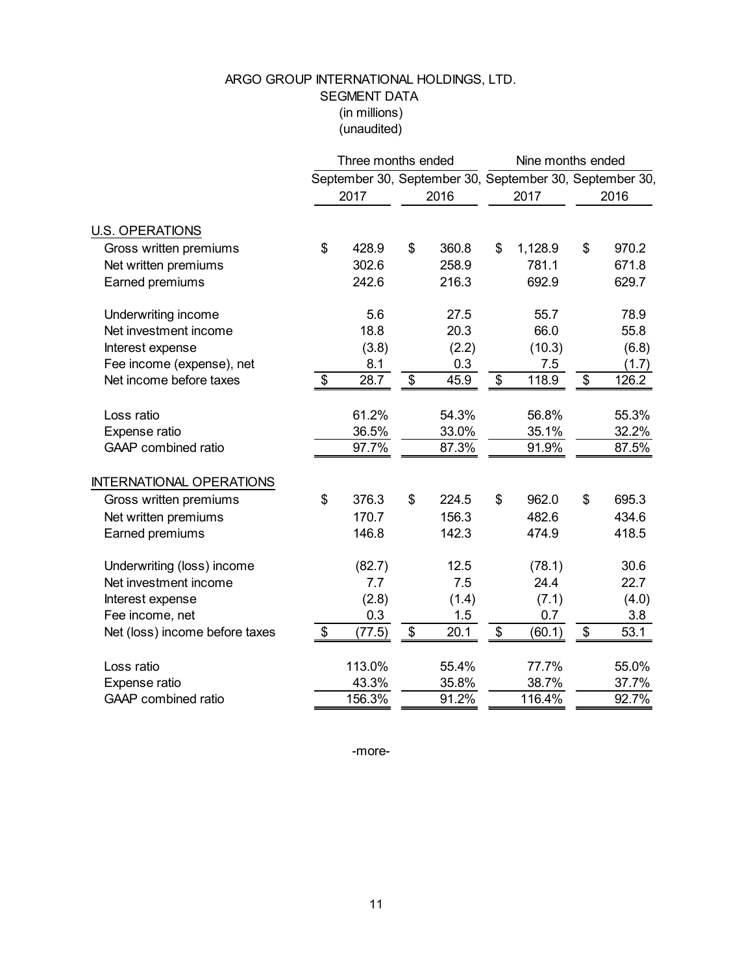# ARGO GROUP INTERNATIONAL HOLDINGS, LTD. SEGMENT DATA (in millions) (unaudited)

|                                 |                           | Three months ended |                           |       |                                                         | Nine months ended         |       |  |
|---------------------------------|---------------------------|--------------------|---------------------------|-------|---------------------------------------------------------|---------------------------|-------|--|
|                                 |                           |                    |                           |       | September 30, September 30, September 30, September 30, |                           |       |  |
|                                 |                           | 2017               |                           | 2016  | 2017                                                    |                           | 2016  |  |
| <b>U.S. OPERATIONS</b>          |                           |                    |                           |       |                                                         |                           |       |  |
| Gross written premiums          | \$                        | 428.9              | \$                        | 360.8 | \$<br>1,128.9                                           | \$                        | 970.2 |  |
| Net written premiums            |                           | 302.6              |                           | 258.9 | 781.1                                                   |                           | 671.8 |  |
| Earned premiums                 |                           | 242.6              |                           | 216.3 | 692.9                                                   |                           | 629.7 |  |
| Underwriting income             |                           | 5.6                |                           | 27.5  | 55.7                                                    |                           | 78.9  |  |
| Net investment income           |                           | 18.8               |                           | 20.3  | 66.0                                                    |                           | 55.8  |  |
| Interest expense                |                           | (3.8)              |                           | (2.2) | (10.3)                                                  |                           | (6.8) |  |
| Fee income (expense), net       |                           | 8.1                |                           | 0.3   | 7.5                                                     |                           | (1.7) |  |
| Net income before taxes         | $\boldsymbol{\mathsf{S}}$ | 28.7               | $\$\$                     | 45.9  | \$<br>118.9                                             | $\boldsymbol{\mathsf{S}}$ | 126.2 |  |
| Loss ratio                      |                           | 61.2%              |                           | 54.3% | 56.8%                                                   |                           | 55.3% |  |
| Expense ratio                   |                           | 36.5%              |                           | 33.0% | 35.1%                                                   |                           | 32.2% |  |
| GAAP combined ratio             |                           | 97.7%              |                           | 87.3% | 91.9%                                                   |                           | 87.5% |  |
| <b>INTERNATIONAL OPERATIONS</b> |                           |                    |                           |       |                                                         |                           |       |  |
| Gross written premiums          | \$                        | 376.3              | \$                        | 224.5 | \$<br>962.0                                             | \$                        | 695.3 |  |
| Net written premiums            |                           | 170.7              |                           | 156.3 | 482.6                                                   |                           | 434.6 |  |
| Earned premiums                 |                           | 146.8              |                           | 142.3 | 474.9                                                   |                           | 418.5 |  |
| Underwriting (loss) income      |                           | (82.7)             |                           | 12.5  | (78.1)                                                  |                           | 30.6  |  |
| Net investment income           |                           | 7.7                |                           | 7.5   | 24.4                                                    |                           | 22.7  |  |
| Interest expense                |                           | (2.8)              |                           | (1.4) | (7.1)                                                   |                           | (4.0) |  |
| Fee income, net                 |                           | 0.3                |                           | 1.5   | 0.7                                                     |                           | 3.8   |  |
| Net (loss) income before taxes  | $\boldsymbol{\mathsf{S}}$ | (77.5)             | $\boldsymbol{\mathsf{S}}$ | 20.1  | \$<br>(60.1)                                            | $\boldsymbol{\mathsf{S}}$ | 53.1  |  |
| Loss ratio                      |                           | 113.0%             |                           | 55.4% | 77.7%                                                   |                           | 55.0% |  |
| Expense ratio                   |                           | 43.3%              |                           | 35.8% | 38.7%                                                   |                           | 37.7% |  |
| GAAP combined ratio             |                           | 156.3%             |                           | 91.2% | 116.4%                                                  |                           | 92.7% |  |

-more-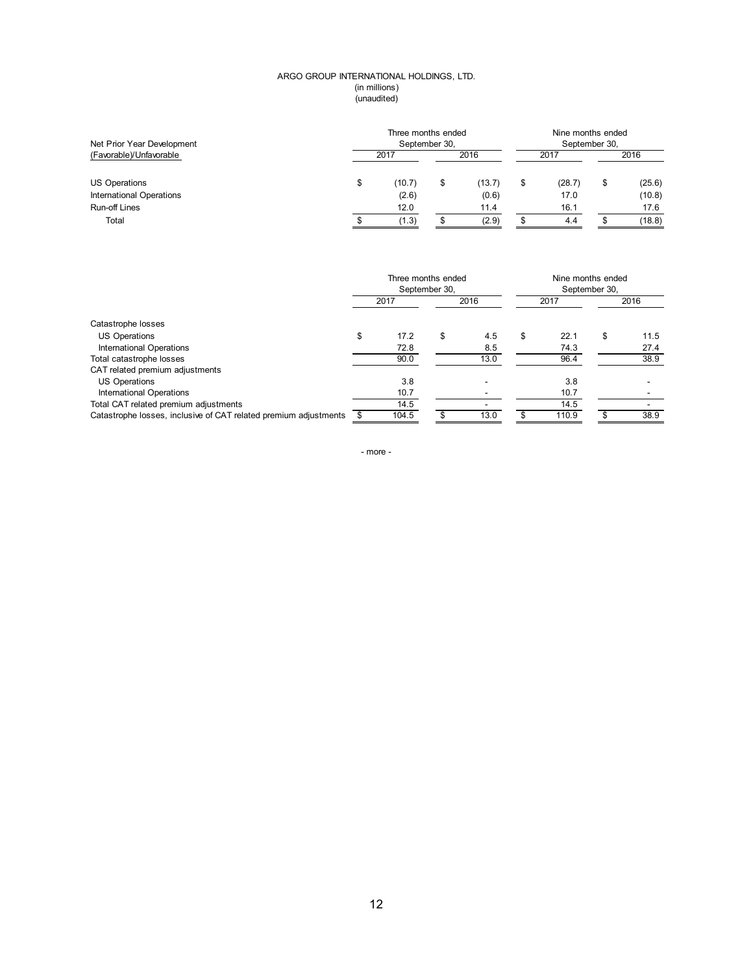#### (in millions) ARGO GROUP INTERNATIONAL HOLDINGS, LTD. (unaudited)

| Net Prior Year Development      | Three months ended<br>September 30, |        |    |        |      | Nine months ended<br>September 30, |      |        |  |
|---------------------------------|-------------------------------------|--------|----|--------|------|------------------------------------|------|--------|--|
| (Favorable)/Unfavorable         | 2017                                |        |    | 2016   | 2017 |                                    | 2016 |        |  |
| US Operations                   | \$                                  | (10.7) | \$ | (13.7) | \$   | (28.7)                             |      | (25.6) |  |
| <b>International Operations</b> |                                     | (2.6)  |    | (0.6)  |      | 17.0                               |      | (10.8) |  |
| <b>Run-off Lines</b>            |                                     | 12.0   |    | 11.4   |      | 16.1                               |      | 17.6   |  |
| Total                           |                                     | (1.3)  |    | (2.9)  |      | 4.4                                |      | (18.8) |  |

|                                                                  | Three months ended | September 30, |      |    |       | Nine months ended<br>September 30, |      |  |
|------------------------------------------------------------------|--------------------|---------------|------|----|-------|------------------------------------|------|--|
|                                                                  | 2017               |               | 2016 |    | 2017  |                                    | 2016 |  |
| Catastrophe losses                                               |                    |               |      |    |       |                                    |      |  |
| US Operations                                                    | \$<br>17.2         | \$            | 4.5  | \$ | 22.1  | S                                  | 11.5 |  |
| International Operations                                         | 72.8               |               | 8.5  |    | 74.3  |                                    | 27.4 |  |
| Total catastrophe losses                                         | 90.0               |               | 13.0 |    | 96.4  |                                    | 38.9 |  |
| CAT related premium adjustments                                  |                    |               |      |    |       |                                    |      |  |
| <b>US Operations</b>                                             | 3.8                |               |      |    | 3.8   |                                    |      |  |
| <b>International Operations</b>                                  | 10.7               |               |      |    | 10.7  |                                    |      |  |
| Total CAT related premium adjustments                            | 14.5               |               |      |    | 14.5  |                                    |      |  |
| Catastrophe losses, inclusive of CAT related premium adjustments | 104.5              |               | 13.0 |    | 110.9 |                                    | 38.9 |  |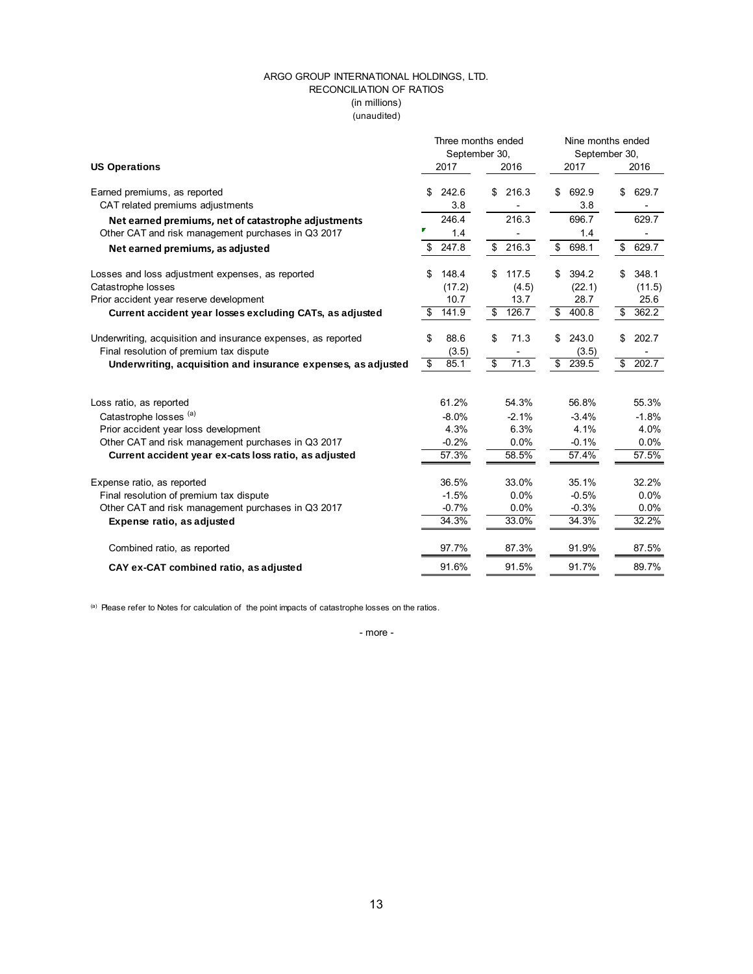### ARGO GROUP INTERNATIONAL HOLDINGS, LTD. RECONCILIATION OF RATIOS (unaudited) (in millions)

|                                                               | Three months ended              |                       | Nine months ended |                              |  |  |  |
|---------------------------------------------------------------|---------------------------------|-----------------------|-------------------|------------------------------|--|--|--|
|                                                               | September 30,                   |                       | September 30,     |                              |  |  |  |
| <b>US Operations</b>                                          | 2017                            | 2016                  | 2017              | 2016                         |  |  |  |
| Earned premiums, as reported                                  | 242.6<br>\$                     | 216.3<br>\$           | 692.9<br>\$       | 629.7<br>\$                  |  |  |  |
| CAT related premiums adjustments                              | 3.8                             |                       | 3.8               |                              |  |  |  |
| Net earned premiums, net of catastrophe adjustments           | 246.4                           | 216.3                 | 696.7             | 629.7                        |  |  |  |
| Other CAT and risk management purchases in Q3 2017            | 1.4                             |                       | 1.4               | $\qquad \qquad \blacksquare$ |  |  |  |
| Net earned premiums, as adjusted                              | 247.8<br>\$                     | $\mathbb{S}$<br>216.3 | \$<br>698.1       | \$<br>629.7                  |  |  |  |
| Losses and loss adjustment expenses, as reported              | 148.4<br>\$                     | \$<br>117.5           | 394.2<br>\$       | 348.1<br>\$                  |  |  |  |
| Catastrophe losses                                            | (17.2)                          | (4.5)                 | (22.1)            | (11.5)                       |  |  |  |
| Prior accident year reserve development                       | 10.7                            | 13.7                  | 28.7              | 25.6                         |  |  |  |
| Current accident year losses excluding CATs, as adjusted      | 141.9<br>\$                     | \$<br>126.7           | \$<br>400.8       | 362.2<br>\$                  |  |  |  |
| Underwriting, acquisition and insurance expenses, as reported | \$<br>88.6                      | \$<br>71.3            | 243.0<br>\$       | \$<br>202.7                  |  |  |  |
| Final resolution of premium tax dispute                       | (3.5)                           |                       | (3.5)             |                              |  |  |  |
| Underwriting, acquisition and insurance expenses, as adjusted | $\overline{\mathbf{s}}$<br>85.1 | s.<br>71.3            | \$239.5           | \$<br>202.7                  |  |  |  |
|                                                               | 61.2%                           | 54.3%                 | 56.8%             | 55.3%                        |  |  |  |
| Loss ratio, as reported                                       |                                 |                       |                   |                              |  |  |  |
| Catastrophe losses (a)                                        | $-8.0%$                         | $-2.1%$               | $-3.4%$           | $-1.8%$                      |  |  |  |
| Prior accident year loss development                          | 4.3%                            | 6.3%<br>0.0%          | 4.1%              | 4.0%                         |  |  |  |
| Other CAT and risk management purchases in Q3 2017            | $-0.2%$                         |                       | $-0.1%$           | 0.0%                         |  |  |  |
| Current accident year ex-cats loss ratio, as adjusted         | 57.3%                           | 58.5%                 | 57.4%             | 57.5%                        |  |  |  |
| Expense ratio, as reported                                    | 36.5%                           | 33.0%                 | 35.1%             | 32.2%                        |  |  |  |
| Final resolution of premium tax dispute                       | $-1.5%$                         | 0.0%                  | $-0.5%$           | 0.0%                         |  |  |  |
| Other CAT and risk management purchases in Q3 2017            | $-0.7%$                         | 0.0%                  | $-0.3%$           | 0.0%                         |  |  |  |
| Expense ratio, as adjusted                                    | 34.3%                           | 33.0%                 | 34.3%             | 32.2%                        |  |  |  |
| Combined ratio, as reported                                   | 97.7%                           | 87.3%                 | 91.9%             | 87.5%                        |  |  |  |
| CAY ex-CAT combined ratio, as adjusted                        | 91.6%                           | 91.5%                 | 91.7%             | 89.7%                        |  |  |  |
|                                                               |                                 |                       |                   |                              |  |  |  |

(a) Please refer to Notes for calculation of the point impacts of catastrophe losses on the ratios.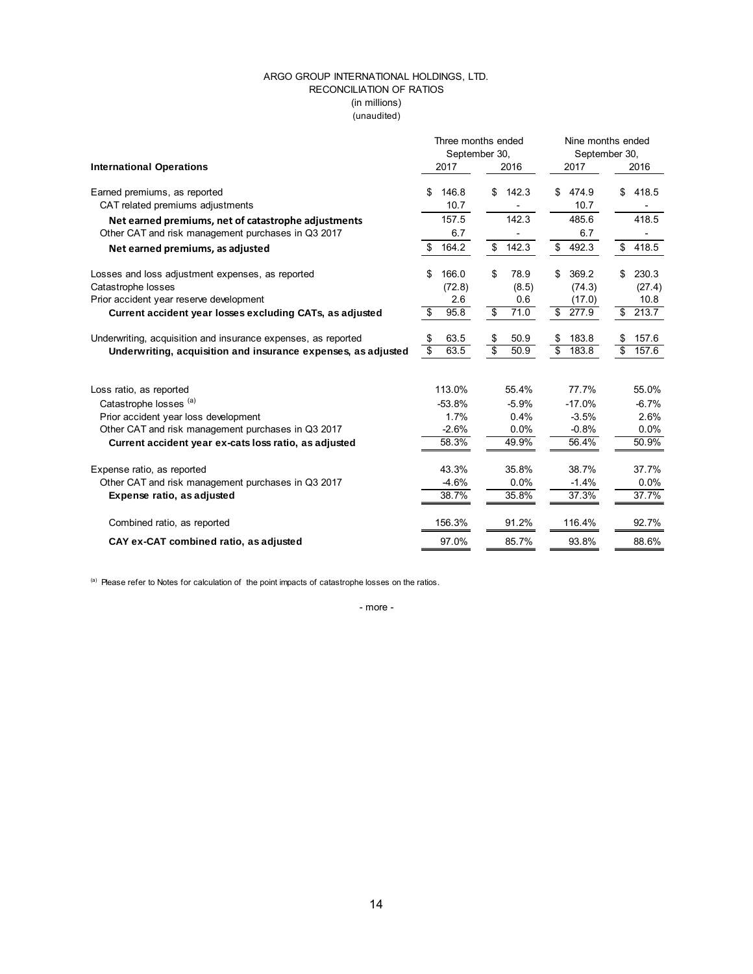### ARGO GROUP INTERNATIONAL HOLDINGS, LTD. RECONCILIATION OF RATIOS (unaudited) (in millions)

|                                                               |                                  | Three months ended              | Nine months ended                |                          |  |  |  |
|---------------------------------------------------------------|----------------------------------|---------------------------------|----------------------------------|--------------------------|--|--|--|
|                                                               | September 30,                    |                                 | September 30,                    |                          |  |  |  |
| <b>International Operations</b>                               | 2017                             | 2016                            | 2017                             | 2016                     |  |  |  |
| Earned premiums, as reported                                  | 146.8<br>S.                      | 142.3<br>\$                     | 474.9<br>S.                      | \$<br>418.5              |  |  |  |
| CAT related premiums adjustments                              | 10.7                             |                                 | 10.7                             |                          |  |  |  |
| Net earned premiums, net of catastrophe adjustments           | 157.5                            | 142.3                           | 485.6                            | 418.5                    |  |  |  |
| Other CAT and risk management purchases in Q3 2017            | 6.7                              |                                 | 6.7                              |                          |  |  |  |
| Net earned premiums, as adjusted                              | 164.2<br>\$                      | \$<br>142.3                     | 492.3<br>\$                      | \$<br>418.5              |  |  |  |
| Losses and loss adjustment expenses, as reported              | 166.0<br>\$                      | \$<br>78.9                      | \$<br>369.2                      | 230.3<br>\$              |  |  |  |
| Catastrophe losses                                            | (72.8)                           | (8.5)                           | (74.3)                           | (27.4)                   |  |  |  |
| Prior accident year reserve development                       | 2.6                              | 0.6                             | (17.0)                           | 10.8                     |  |  |  |
| Current accident year losses excluding CATs, as adjusted      | 95.8<br>\$                       | s,<br>71.0                      | $\overline{\mathbf{s}}$<br>277.9 | 213.7<br>\$              |  |  |  |
| Underwriting, acquisition and insurance expenses, as reported | 63.5<br>\$                       | \$<br>50.9                      | 183.8<br>\$                      | 157.6<br>\$              |  |  |  |
| Underwriting, acquisition and insurance expenses, as adjusted | $\overline{\mathcal{S}}$<br>63.5 | $\overline{\mathbb{s}}$<br>50.9 | $\overline{\mathbf{s}}$<br>183.8 | $\overline{\$}$<br>157.6 |  |  |  |
|                                                               |                                  |                                 |                                  |                          |  |  |  |
| Loss ratio, as reported                                       | 113.0%                           | 55.4%                           | 77.7%                            | 55.0%                    |  |  |  |
| Catastrophe losses (a)                                        | $-53.8%$                         | $-5.9%$                         | $-17.0%$                         | $-6.7%$                  |  |  |  |
| Prior accident year loss development                          | 1.7%                             | 0.4%                            | $-3.5%$                          | 2.6%                     |  |  |  |
| Other CAT and risk management purchases in Q3 2017            | $-2.6%$                          | 0.0%                            | $-0.8%$                          | 0.0%                     |  |  |  |
| Current accident year ex-cats loss ratio, as adjusted         | 58.3%                            | 49.9%                           | 56.4%                            | 50.9%                    |  |  |  |
| Expense ratio, as reported                                    | 43.3%                            | 35.8%                           | 38.7%                            | 37.7%                    |  |  |  |
| Other CAT and risk management purchases in Q3 2017            | $-4.6%$                          | 0.0%                            | $-1.4%$                          | $0.0\%$                  |  |  |  |
| Expense ratio, as adjusted                                    | 38.7%                            | 35.8%                           | 37.3%                            | 37.7%                    |  |  |  |
| Combined ratio, as reported                                   | 156.3%                           | 91.2%                           | 116.4%                           | 92.7%                    |  |  |  |
| CAY ex-CAT combined ratio, as adjusted                        | 97.0%                            | 85.7%                           | 93.8%                            | 88.6%                    |  |  |  |
|                                                               |                                  |                                 |                                  |                          |  |  |  |

(a) Please refer to Notes for calculation of the point impacts of catastrophe losses on the ratios.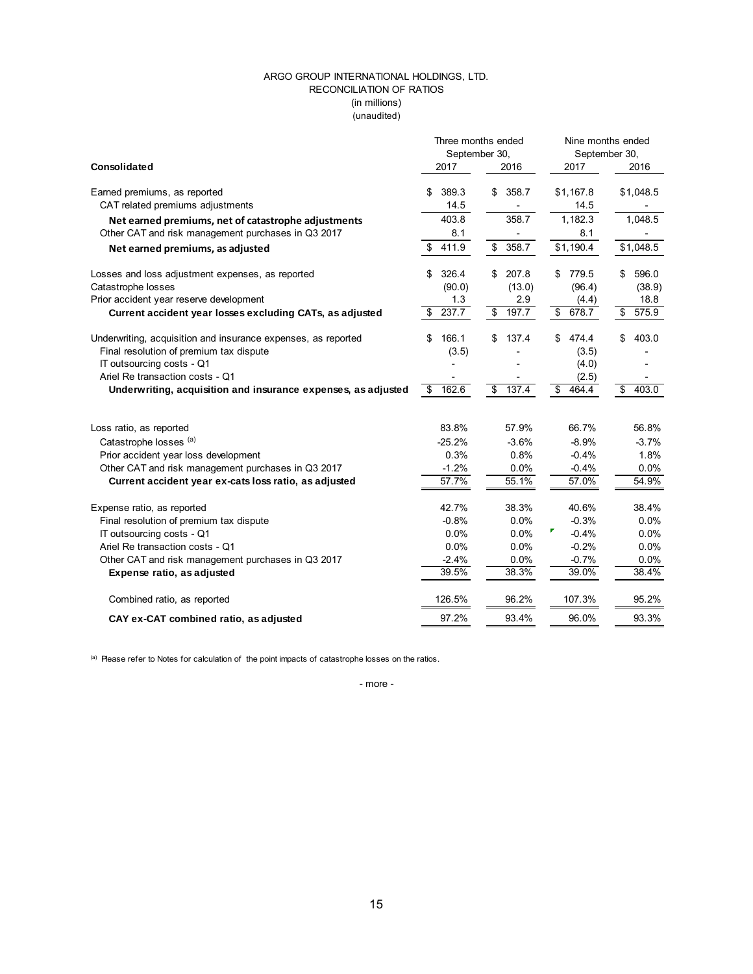### (in millions) ARGO GROUP INTERNATIONAL HOLDINGS, LTD. RECONCILIATION OF RATIOS (unaudited)

|                                                               |               | Three months ended               | Nine months ended |             |  |  |  |
|---------------------------------------------------------------|---------------|----------------------------------|-------------------|-------------|--|--|--|
|                                                               | September 30, |                                  | September 30,     |             |  |  |  |
| Consolidated                                                  | 2017          | 2016                             | 2017              | 2016        |  |  |  |
| Earned premiums, as reported                                  | 389.3<br>S    | 358.7<br>\$                      | \$1,167.8         | \$1,048.5   |  |  |  |
| CAT related premiums adjustments                              | 14.5          |                                  | 14.5              |             |  |  |  |
| Net earned premiums, net of catastrophe adjustments           | 403.8         | 358.7                            | 1,182.3           | 1,048.5     |  |  |  |
| Other CAT and risk management purchases in Q3 2017            | 8.1           |                                  | 8.1               |             |  |  |  |
| Net earned premiums, as adjusted                              | 411.9<br>\$   | $\mathbb{S}$<br>358.7            | \$1,190.4         | \$1,048.5   |  |  |  |
| Losses and loss adjustment expenses, as reported              | 326.4<br>\$   | 207.8<br>\$                      | 779.5<br>\$       | 596.0<br>\$ |  |  |  |
| Catastrophe losses                                            | (90.0)        | (13.0)                           | (96.4)            | (38.9)      |  |  |  |
| Prior accident year reserve development                       | 1.3           | 2.9                              | (4.4)             | 18.8        |  |  |  |
| Current accident year losses excluding CATs, as adjusted      | 237.7<br>\$   | $\overline{\mathbf{S}}$<br>197.7 | s)<br>678.7       | \$<br>575.9 |  |  |  |
| Underwriting, acquisition and insurance expenses, as reported | 166.1<br>\$   | 137.4<br>\$                      | 474.4<br>\$.      | \$<br>403.0 |  |  |  |
| Final resolution of premium tax dispute                       | (3.5)         |                                  | (3.5)             |             |  |  |  |
| IT outsourcing costs - Q1                                     |               |                                  | (4.0)             |             |  |  |  |
| Ariel Re transaction costs - Q1                               |               |                                  | (2.5)             |             |  |  |  |
| Underwriting, acquisition and insurance expenses, as adjusted | 162.6<br>\$   | \$<br>137.4                      | \$<br>464.4       | \$<br>403.0 |  |  |  |
|                                                               | 83.8%         | 57.9%                            | 66.7%             | 56.8%       |  |  |  |
| Loss ratio, as reported                                       |               |                                  |                   |             |  |  |  |
| Catastrophe losses (a)                                        | $-25.2%$      | $-3.6%$                          | $-8.9%$           | $-3.7%$     |  |  |  |
| Prior accident year loss development                          | 0.3%          | 0.8%                             | $-0.4%$           | 1.8%        |  |  |  |
| Other CAT and risk management purchases in Q3 2017            | $-1.2%$       | 0.0%                             | $-0.4%$           | 0.0%        |  |  |  |
| Current accident year ex-cats loss ratio, as adjusted         | 57.7%         | 55.1%                            | 57.0%             | 54.9%       |  |  |  |
| Expense ratio, as reported                                    | 42.7%         | 38.3%                            | 40.6%             | 38.4%       |  |  |  |
| Final resolution of premium tax dispute                       | $-0.8%$       | 0.0%                             | $-0.3%$           | 0.0%        |  |  |  |
| IT outsourcing costs - Q1                                     | 0.0%          | 0.0%                             | $-0.4%$           | 0.0%        |  |  |  |
| Ariel Re transaction costs - Q1                               | 0.0%          | 0.0%                             | $-0.2%$           | 0.0%        |  |  |  |
| Other CAT and risk management purchases in Q3 2017            | $-2.4%$       | 0.0%                             | $-0.7%$           | 0.0%        |  |  |  |
| Expense ratio, as adjusted                                    | 39.5%         | 38.3%                            | 39.0%             | 38.4%       |  |  |  |
| Combined ratio, as reported                                   | 126.5%        | 96.2%                            | 107.3%            | 95.2%       |  |  |  |
| CAY ex-CAT combined ratio, as adjusted                        | 97.2%         | 93.4%                            | 96.0%             | 93.3%       |  |  |  |

(a) Please refer to Notes for calculation of the point impacts of catastrophe losses on the ratios.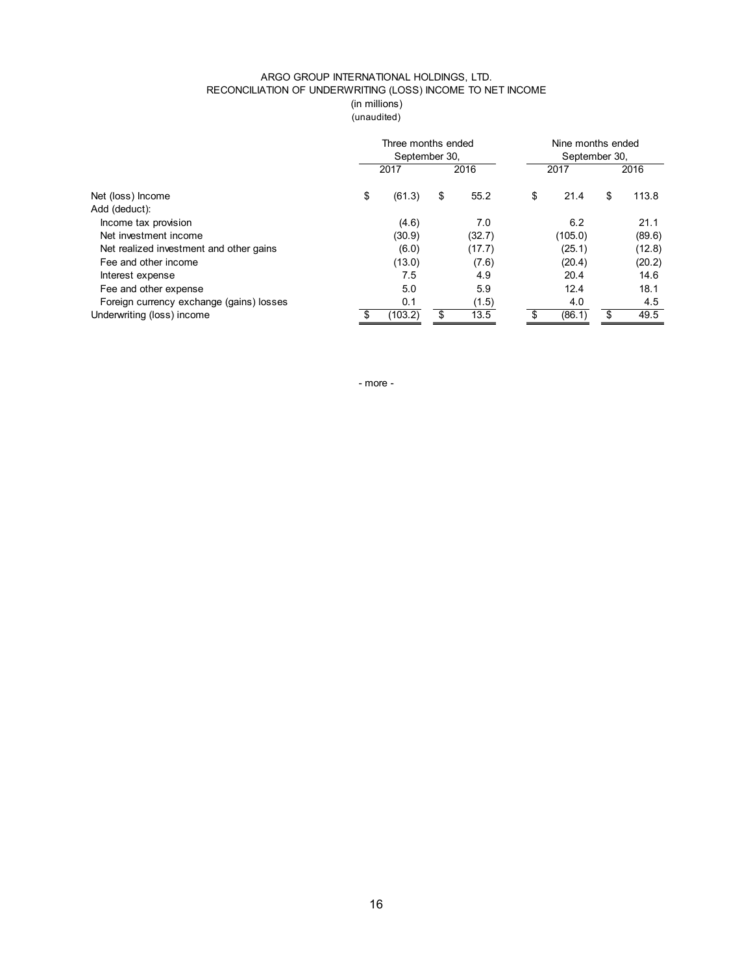### ARGO GROUP INTERNATIONAL HOLDINGS, LTD. RECONCILIATION OF UNDERWRITING (LOSS) INCOME TO NET INCOME (in millions) (unaudited)

|                                          |               | Three months ended |    | Nine months ended |    |               |    |        |  |
|------------------------------------------|---------------|--------------------|----|-------------------|----|---------------|----|--------|--|
|                                          | September 30, |                    |    |                   |    | September 30, |    |        |  |
|                                          |               | 2017               |    | 2016              |    | 2017          |    | 2016   |  |
| Net (loss) Income                        | \$            | (61.3)             | \$ | 55.2              | \$ | 21.4          | \$ | 113.8  |  |
| Add (deduct):                            |               |                    |    |                   |    |               |    |        |  |
| Income tax provision                     |               | (4.6)              |    | 7.0               |    | 6.2           |    | 21.1   |  |
| Net investment income                    |               | (30.9)             |    | (32.7)            |    | (105.0)       |    | (89.6) |  |
| Net realized investment and other gains  |               | (6.0)              |    | (17.7)            |    | (25.1)        |    | (12.8) |  |
| Fee and other income                     |               | (13.0)             |    | (7.6)             |    | (20.4)        |    | (20.2) |  |
| Interest expense                         |               | 7.5                |    | 4.9               |    | 20.4          |    | 14.6   |  |
| Fee and other expense                    |               | 5.0                |    | 5.9               |    | 12.4          |    | 18.1   |  |
| Foreign currency exchange (gains) losses |               | 0.1                |    | (1.5)             |    | 4.0           |    | 4.5    |  |
| Underwriting (loss) income               | \$            | (103.2)            | \$ | 13.5              | \$ | (86.1)        | \$ | 49.5   |  |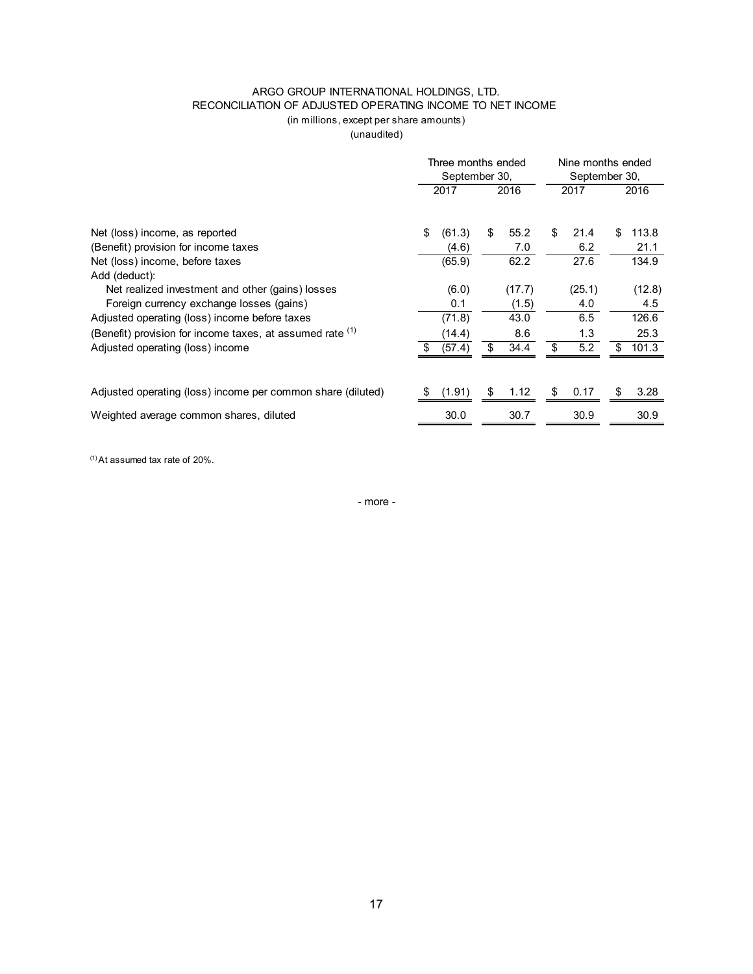## ARGO GROUP INTERNATIONAL HOLDINGS, LTD. RECONCILIATION OF ADJUSTED OPERATING INCOME TO NET INCOME (in millions, except per share amounts)

(unaudited)

|                                                             | Three months ended<br>September 30, |        |    |        | Nine months ended<br>September 30, |        |    |        |
|-------------------------------------------------------------|-------------------------------------|--------|----|--------|------------------------------------|--------|----|--------|
|                                                             |                                     | 2017   |    | 2016   |                                    | 2017   |    | 2016   |
| Net (loss) income, as reported                              | \$                                  | (61.3) | \$ | 55.2   | \$                                 | 21.4   | \$ | 113.8  |
| (Benefit) provision for income taxes                        |                                     | (4.6)  |    | 7.0    |                                    | 6.2    |    | 21.1   |
| Net (loss) income, before taxes                             |                                     | (65.9) |    | 62.2   |                                    | 27.6   |    | 134.9  |
| Add (deduct):                                               |                                     |        |    |        |                                    |        |    |        |
| Net realized investment and other (gains) losses            |                                     | (6.0)  |    | (17.7) |                                    | (25.1) |    | (12.8) |
| Foreign currency exchange losses (gains)                    |                                     | 0.1    |    | (1.5)  |                                    | 4.0    |    | 4.5    |
| Adjusted operating (loss) income before taxes               |                                     | (71.8) |    | 43.0   |                                    | 6.5    |    | 126.6  |
| (Benefit) provision for income taxes, at assumed rate (1)   |                                     | (14.4) |    | 8.6    |                                    | 1.3    |    | 25.3   |
| Adjusted operating (loss) income                            |                                     | (57.4) | \$ | 34.4   | \$                                 | 5.2    | \$ | 101.3  |
|                                                             |                                     |        |    |        |                                    |        |    |        |
| Adjusted operating (loss) income per common share (diluted) | S.                                  | (1.91) | \$ | 1.12   | S                                  | 0.17   | S  | 3.28   |
| Weighted average common shares, diluted                     |                                     | 30.0   |    | 30.7   |                                    | 30.9   |    | 30.9   |

(1) At assumed tax rate of 20%.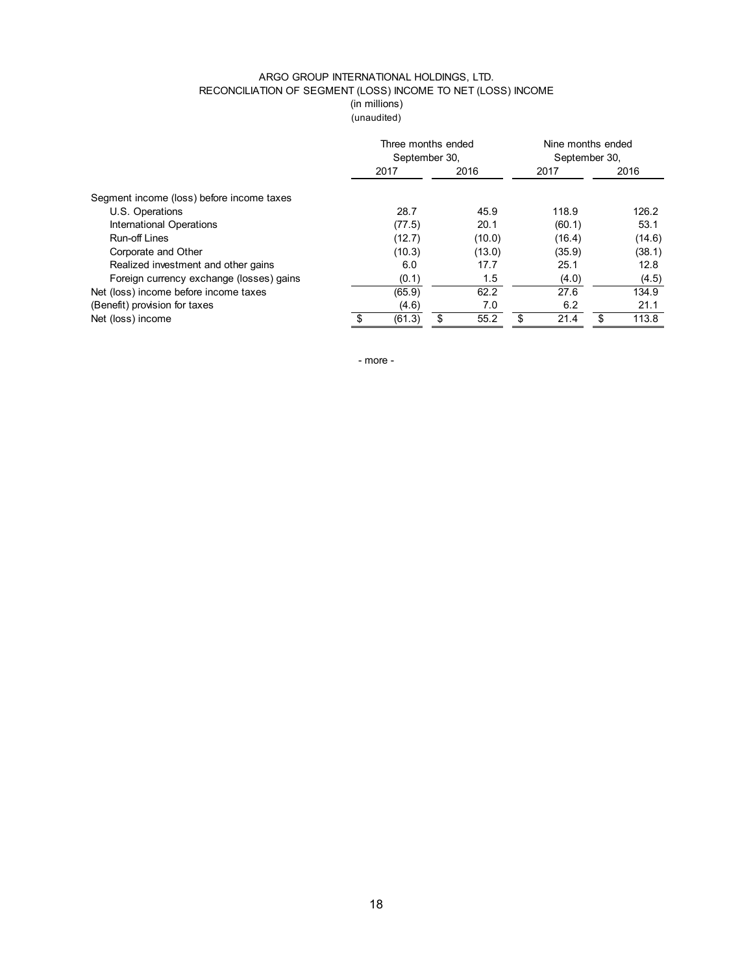## ARGO GROUP INTERNATIONAL HOLDINGS, LTD. RECONCILIATION OF SEGMENT (LOSS) INCOME TO NET (LOSS) INCOME (in millions)

(unaudited)

|                                           | September 30, | Three months ended | Nine months ended<br>September 30, |             |  |
|-------------------------------------------|---------------|--------------------|------------------------------------|-------------|--|
|                                           | 2017          | 2016               | 2017                               | 2016        |  |
| Segment income (loss) before income taxes |               |                    |                                    |             |  |
| U.S. Operations                           | 28.7          | 45.9               | 118.9                              | 126.2       |  |
| International Operations                  | (77.5)        | 20.1               | (60.1)                             | 53.1        |  |
| Run-off Lines                             | (12.7)        | (10.0)             | (16.4)                             | (14.6)      |  |
| Corporate and Other                       | (10.3)        | (13.0)             | (35.9)                             | (38.1)      |  |
| Realized investment and other gains       | 6.0           | 17.7               | 25.1                               | 12.8        |  |
| Foreign currency exchange (losses) gains  | (0.1)         | 1.5                | (4.0)                              | (4.5)       |  |
| Net (loss) income before income taxes     | (65.9)        | 62.2               | 27.6                               | 134.9       |  |
| (Benefit) provision for taxes             | (4.6)         | 7.0                | 6.2                                | 21.1        |  |
| Net (loss) income                         | (61.3)        | \$<br>55.2         | \$<br>21.4                         | 113.8<br>\$ |  |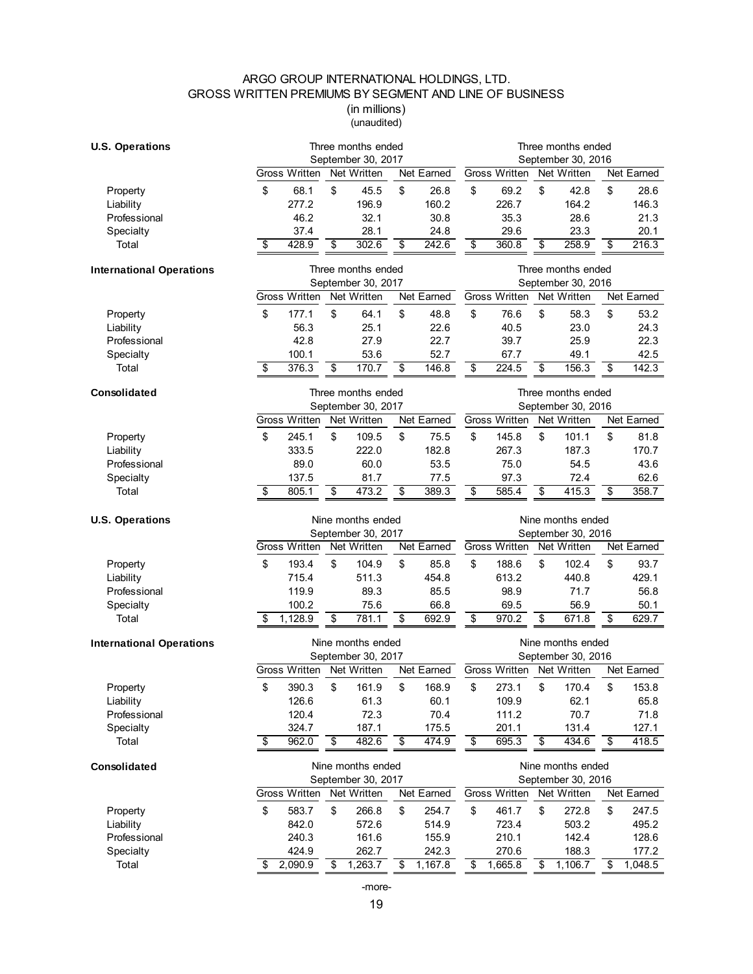# ARGO GROUP INTERNATIONAL HOLDINGS, LTD. GROSS WRITTEN PREMIUMS BY SEGMENT AND LINE OF BUSINESS

(in millions) (unaudited)

| <b>U.S. Operations</b>          | Three months ended     |                          |                         |                    |                 | Three months ended   |    |                    |    |                  |  |
|---------------------------------|------------------------|--------------------------|-------------------------|--------------------|-----------------|----------------------|----|--------------------|----|------------------|--|
|                                 | September 30, 2017     |                          |                         | September 30, 2016 |                 |                      |    |                    |    |                  |  |
|                                 | <b>Gross Written</b>   | Net Written              |                         | Net Earned         |                 | <b>Gross Written</b> |    | Net Written        |    | Net Earned       |  |
| Property                        | \$<br>68.1             | \$<br>45.5               | \$                      | 26.8               | \$              | 69.2                 | \$ | 42.8               | \$ | 28.6             |  |
| Liability                       | 277.2                  | 196.9                    |                         | 160.2              |                 | 226.7                |    | 164.2              |    | 146.3            |  |
| Professional                    | 46.2                   | 32.1                     |                         | 30.8               |                 | 35.3                 |    | 28.6               |    | 21.3             |  |
| Specialty                       | 37.4                   | 28.1                     |                         | 24.8               |                 | 29.6                 |    | 23.3               |    | 20.1             |  |
| Total                           | 428.9<br>\$            | 302.6<br>\$              | \$                      | 242.6              | \$              | 360.8                | \$ | 258.9              | \$ | 216.3            |  |
| <b>International Operations</b> |                        | Three months ended       |                         |                    |                 |                      |    | Three months ended |    |                  |  |
|                                 |                        | September 30, 2017       |                         |                    |                 |                      |    | September 30, 2016 |    |                  |  |
|                                 | <b>Gross Written</b>   | Net Written              |                         | Net Earned         |                 | <b>Gross Written</b> |    | Net Written        |    | Net Earned       |  |
| Property                        | \$<br>177.1            | \$<br>64.1               | \$                      | 48.8               | \$              | 76.6                 | \$ | 58.3               | \$ | 53.2             |  |
| Liability                       | 56.3                   | 25.1                     |                         | 22.6               |                 | 40.5                 |    | 23.0               |    | 24.3             |  |
| Professional                    | 42.8                   | 27.9                     |                         | 22.7               |                 | 39.7                 |    | 25.9               |    | 22.3             |  |
| Specialty                       | 100.1                  | 53.6                     |                         | 52.7               |                 | 67.7                 |    | 49.1               |    | 42.5             |  |
| Total                           | 376.3<br>\$            | \$<br>170.7              | \$                      | 146.8              | \$              | 224.5                | \$ | 156.3              | \$ | 142.3            |  |
| Consolidated                    | Three months ended     |                          |                         |                    |                 | Three months ended   |    |                    |    |                  |  |
|                                 |                        | September 30, 2017       |                         |                    |                 |                      |    | September 30, 2016 |    |                  |  |
|                                 | <b>Gross Written</b>   | Net Written              |                         | Net Earned         |                 | <b>Gross Written</b> |    | Net Written        |    | Net Earned       |  |
| Property                        | 245.1<br>\$            | \$<br>109.5              | \$                      | 75.5               | \$              | 145.8                | \$ | 101.1              | \$ | 81.8             |  |
| Liability                       | 333.5                  | 222.0                    |                         | 182.8              |                 | 267.3                |    | 187.3              |    | 170.7            |  |
| Professional                    | 89.0                   | 60.0                     |                         | 53.5               |                 | 75.0                 |    | 54.5               |    | 43.6             |  |
| Specialty                       | 137.5                  | 81.7                     |                         | 77.5               |                 | 97.3                 |    | 72.4               |    | 62.6             |  |
| Total                           | 805.1<br>\$            | $\overline{\$}$<br>473.2 | \$                      | 389.3              | $\overline{\$}$ | 585.4                | \$ | 415.3              | \$ | 358.7            |  |
| <b>U.S. Operations</b>          |                        | Nine months ended        |                         |                    |                 |                      |    | Nine months ended  |    |                  |  |
|                                 | September 30, 2017     |                          |                         | September 30, 2016 |                 |                      |    |                    |    |                  |  |
|                                 | <b>Gross Written</b>   | Net Written              |                         | Net Earned         |                 | Gross Written        |    | Net Written        |    | Net Earned       |  |
| Property                        | \$<br>193.4            | \$<br>104.9              | \$                      | 85.8               | \$              | 188.6                | \$ | 102.4              | \$ | 93.7             |  |
| Liability                       | 715.4                  | 511.3                    |                         | 454.8              |                 | 613.2                |    | 440.8              |    | 429.1            |  |
| Professional                    | 119.9                  | 89.3                     |                         | 85.5               |                 | 98.9                 |    | 71.7               |    | 56.8             |  |
| Specialty                       | 100.2                  | 75.6                     |                         | 66.8               |                 | 69.5                 |    | 56.9               |    | 50.1             |  |
| Total                           | 1,128.9<br>\$          | \$<br>781.1              | \$                      | 692.9              | $\overline{\$}$ | 970.2                | \$ | 671.8              | \$ | 629.7            |  |
| <b>International Operations</b> |                        | Nine months ended        |                         |                    |                 |                      |    | Nine months ended  |    |                  |  |
|                                 |                        | September 30, 2017       |                         |                    |                 |                      |    | September 30, 2016 |    |                  |  |
|                                 | <b>Gross Written</b>   | Net Written              |                         | Net Earned         |                 | <b>Gross Written</b> |    | Net Written        |    | Net Earned       |  |
| Property                        | \$<br>390.3            | \$<br>161.9              | \$                      | 168.9              | \$              | 273.1                | \$ | 170.4              | \$ | 153.8            |  |
| Liability                       | 126.6                  | 61.3                     |                         | 60.1               |                 | 109.9                |    | 62.1               |    | 65.8             |  |
| Professional                    | 120.4                  | 72.3                     |                         | 70.4               |                 | 111.2                |    | 70.7               |    | 71.8             |  |
| Specialty                       | 324.7                  | 187.1                    |                         | 175.5              |                 | 201.1                |    | 131.4              |    | 127.1            |  |
| Total                           | 962.0<br>\$            | \$<br>482.6              | $\overline{\mathbf{e}}$ | 474.9              | \$              | 695.3                | \$ | 434.6              | \$ | 418.5            |  |
| Consolidated                    |                        | Nine months ended        |                         |                    |                 |                      |    | Nine months ended  |    |                  |  |
|                                 | September 30, 2017     |                          |                         | September 30, 2016 |                 |                      |    |                    |    |                  |  |
|                                 |                        |                          |                         |                    |                 |                      |    |                    |    |                  |  |
|                                 | <b>Gross Written</b>   | Net Written              |                         | Net Earned         |                 | Gross Written        |    | Net Written        |    | Net Earned       |  |
| Property                        | \$<br>583.7            | \$<br>266.8              | \$                      | 254.7              | \$              | 461.7                | \$ | 272.8              | \$ | 247.5            |  |
| Liability                       | 842.0                  | 572.6                    |                         | 514.9              |                 | 723.4                |    | 503.2              |    | 495.2            |  |
| Professional                    | 240.3                  | 161.6                    |                         | 155.9              |                 | 210.1                |    | 142.4              |    | 128.6            |  |
| Specialty<br>Total              | 424.9<br>2,090.9<br>\$ | 262.7<br>1,263.7<br>\$   | \$                      | 242.3<br>1,167.8   | \$              | 270.6<br>1,665.8     | \$ | 188.3<br>1,106.7   | \$ | 177.2<br>1,048.5 |  |

-more-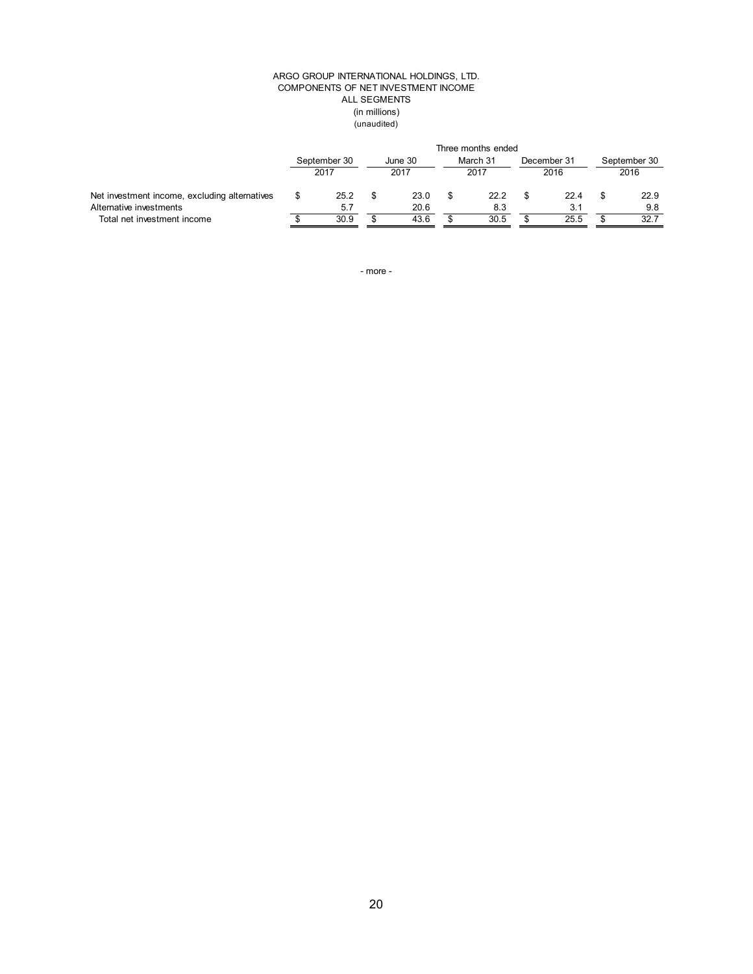#### (in millions) (unaudited) ARGO GROUP INTERNATIONAL HOLDINGS, LTD. COMPONENTS OF NET INVESTMENT INCOME ALL SEGMENTS

|                                                                          | Three months ended   |             |                 |              |                  |             |                     |             |                      |             |
|--------------------------------------------------------------------------|----------------------|-------------|-----------------|--------------|------------------|-------------|---------------------|-------------|----------------------|-------------|
|                                                                          | September 30<br>2017 |             | June 30<br>2017 |              | March 31<br>2017 |             | December 31<br>2016 |             | September 30<br>2016 |             |
| Net investment income, excluding alternatives<br>Alternative investments |                      | 25.2<br>5.7 |                 | 23.0<br>20.6 |                  | 22.2<br>8.3 |                     | 22.4<br>3.1 |                      | 22.9<br>9.8 |
| Total net investment income                                              |                      | 30.9        |                 | 43.6         |                  | 30.5        |                     | 25.5        |                      | 32.7        |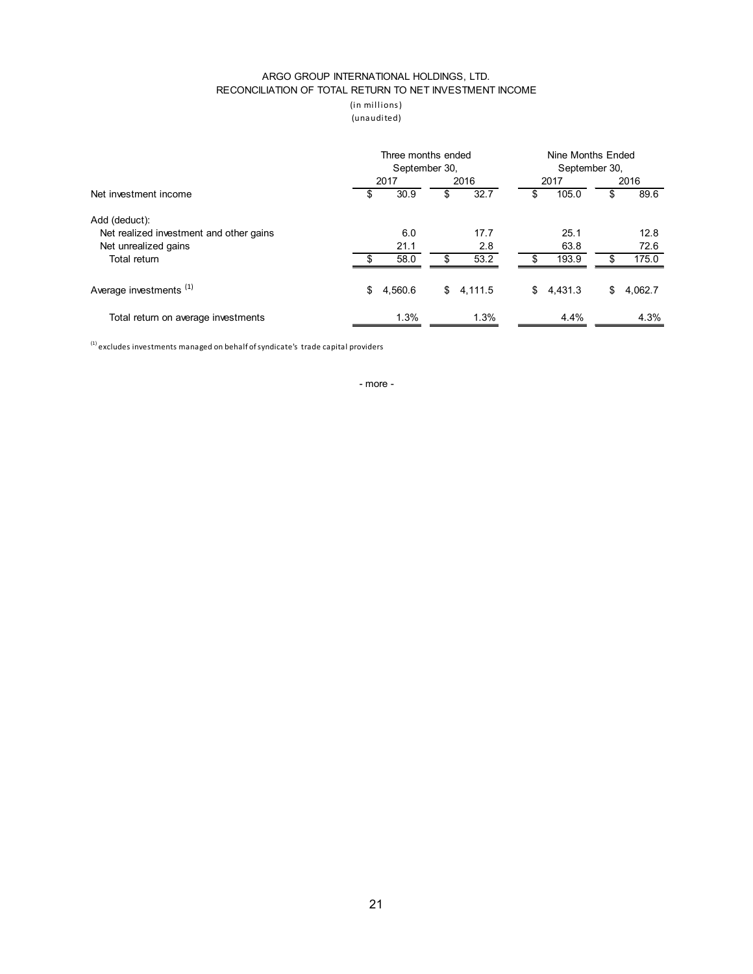### ARGO GROUP INTERNATIONAL HOLDINGS, LTD. RECONCILIATION OF TOTAL RETURN TO NET INVESTMENT INCOME

(in millions ) (unaudited)

|                                         | Three months ended<br>September 30, |         |    |           |    | Nine Months Ended<br>September 30, |    |         |  |  |
|-----------------------------------------|-------------------------------------|---------|----|-----------|----|------------------------------------|----|---------|--|--|
|                                         |                                     | 2017    |    | 2016      |    | 2017                               |    | 2016    |  |  |
| Net investment income                   | \$                                  | 30.9    | \$ | 32.7      | \$ | 105.0                              | \$ | 89.6    |  |  |
| Add (deduct):                           |                                     |         |    |           |    |                                    |    |         |  |  |
| Net realized investment and other gains |                                     | 6.0     |    | 17.7      |    | 25.1                               |    | 12.8    |  |  |
| Net unrealized gains                    |                                     | 21.1    |    | 2.8       |    | 63.8                               |    | 72.6    |  |  |
| Total return                            |                                     | 58.0    | \$ | 53.2      | \$ | 193.9                              | \$ | 175.0   |  |  |
| Average investments <sup>(1)</sup>      | \$                                  | 4,560.6 |    | \$4,111.5 | \$ | 4,431.3                            | \$ | 4,062.7 |  |  |
| Total return on average investments     |                                     | 1.3%    |    | 1.3%      |    | 4.4%                               |    | 4.3%    |  |  |

 $<sup>(1)</sup>$  excludes investments managed on behalf of syndicate's trade capital providers</sup>